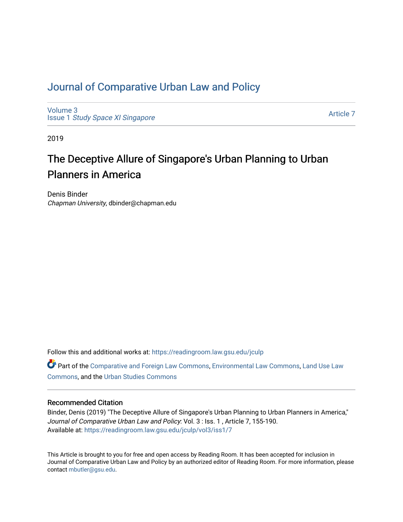## [Journal of Comparative Urban Law and Policy](https://readingroom.law.gsu.edu/jculp)

[Volume 3](https://readingroom.law.gsu.edu/jculp/vol3) Issue 1 [Study Space XI Singapore](https://readingroom.law.gsu.edu/jculp/vol3/iss1)

[Article 7](https://readingroom.law.gsu.edu/jculp/vol3/iss1/7) 

2019

# The Deceptive Allure of Singapore's Urban Planning to Urban Planners in America

Denis Binder Chapman University, dbinder@chapman.edu

Follow this and additional works at: [https://readingroom.law.gsu.edu/jculp](https://readingroom.law.gsu.edu/jculp?utm_source=readingroom.law.gsu.edu%2Fjculp%2Fvol3%2Fiss1%2F7&utm_medium=PDF&utm_campaign=PDFCoverPages) 

Part of the [Comparative and Foreign Law Commons,](http://network.bepress.com/hgg/discipline/836?utm_source=readingroom.law.gsu.edu%2Fjculp%2Fvol3%2Fiss1%2F7&utm_medium=PDF&utm_campaign=PDFCoverPages) [Environmental Law Commons](http://network.bepress.com/hgg/discipline/599?utm_source=readingroom.law.gsu.edu%2Fjculp%2Fvol3%2Fiss1%2F7&utm_medium=PDF&utm_campaign=PDFCoverPages), Land Use Law [Commons](http://network.bepress.com/hgg/discipline/852?utm_source=readingroom.law.gsu.edu%2Fjculp%2Fvol3%2Fiss1%2F7&utm_medium=PDF&utm_campaign=PDFCoverPages), and the [Urban Studies Commons](http://network.bepress.com/hgg/discipline/402?utm_source=readingroom.law.gsu.edu%2Fjculp%2Fvol3%2Fiss1%2F7&utm_medium=PDF&utm_campaign=PDFCoverPages) 

### Recommended Citation

Binder, Denis (2019) "The Deceptive Allure of Singapore's Urban Planning to Urban Planners in America," Journal of Comparative Urban Law and Policy: Vol. 3 : Iss. 1, Article 7, 155-190. Available at: [https://readingroom.law.gsu.edu/jculp/vol3/iss1/7](https://readingroom.law.gsu.edu/jculp/vol3/iss1/7?utm_source=readingroom.law.gsu.edu%2Fjculp%2Fvol3%2Fiss1%2F7&utm_medium=PDF&utm_campaign=PDFCoverPages) 

This Article is brought to you for free and open access by Reading Room. It has been accepted for inclusion in Journal of Comparative Urban Law and Policy by an authorized editor of Reading Room. For more information, please contact [mbutler@gsu.edu](mailto:mbutler@gsu.edu).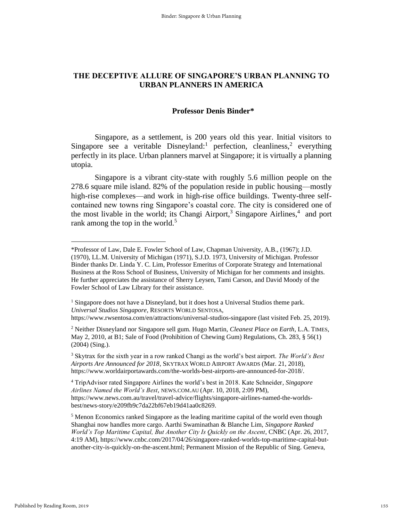### **THE DECEPTIVE ALLURE OF SINGAPORE'S URBAN PLANNING TO URBAN PLANNERS IN AMERICA**

### **Professor Denis Binder\***

Singapore, as a settlement, is 200 years old this year. Initial visitors to Singapore see a veritable Disneyland:<sup>1</sup> perfection, cleanliness,<sup>2</sup> everything perfectly in its place. Urban planners marvel at Singapore; it is virtually a planning utopia.

 Singapore is a vibrant city-state with roughly 5.6 million people on the 278.6 square mile island. 82% of the population reside in public housing—mostly high-rise complexes—and work in high-rise office buildings. Twenty-three selfcontained new towns ring Singapore's coastal core. The city is considered one of the most livable in the world; its Changi Airport,<sup>3</sup> Singapore Airlines,<sup>4</sup> and port rank among the top in the world.<sup>5</sup>

<sup>\*</sup>Professor of Law, Dale E. Fowler School of Law, Chapman University, A.B., (1967); J.D. (1970), LL.M. University of Michigan (1971), S.J.D. 1973, University of Michigan. Professor Binder thanks Dr. Linda Y. C. Lim, Professor Emeritus of Corporate Strategy and International Business at the Ross School of Business, University of Michigan for her comments and insights. He further appreciates the assistance of Sherry Leysen, Tami Carson, and David Moody of the Fowler School of Law Library for their assistance.

<sup>&</sup>lt;sup>1</sup> Singapore does not have a Disneyland, but it does host a Universal Studios theme park. *Universal Studios Singapore*, RESORTS WORLD SENTOSA, https://www.rwsentosa.com/en/attractions/universal-studios-singapore (last visited Feb. 25, 2019).

<sup>2</sup> Neither Disneyland nor Singapore sell gum. Hugo Martin, *Cleanest Place on Earth*, L.A. TIMES, May 2, 2010, at B1; Sale of Food (Prohibition of Chewing Gum) Regulations, Ch. 283, § 56(1) (2004) (Sing.).

<sup>3</sup> Skytrax for the sixth year in a row ranked Changi as the world's best airport. *The World's Best Airports Are Announced for 2018*, SKYTRAX WORLD AIRPORT AWARDS (Mar. 21, 2018), https://www.worldairportawards.com/the-worlds-best-airports-are-announced-for-2018/.

<sup>4</sup> TripAdvisor rated Singapore Airlines the world's best in 2018. Kate Schneider*, Singapore Airlines Named the World's Best*, NEWS.COM.AU (Apr. 10, 2018, 2:09 PM), https://www.news.com.au/travel/travel-advice/flights/singapore-airlines-named-the-worldsbest/news-story/e209fb9c7da22bf67eb19d41aa0c8269.

<sup>&</sup>lt;sup>5</sup> Menon Economics ranked Singapore as the leading maritime capital of the world even though Shanghai now handles more cargo. Aarthi Swaminathan & Blanche Lim, *Singapore Ranked World's Top Maritime Capital, But Another City Is Quickly on the Ascent*, CNBC (Apr. 26, 2017, 4:19 AM), https://www.cnbc.com/2017/04/26/singapore-ranked-worlds-top-maritime-capital-butanother-city-is-quickly-on-the-ascent.html; Permanent Mission of the Republic of Sing. Geneva,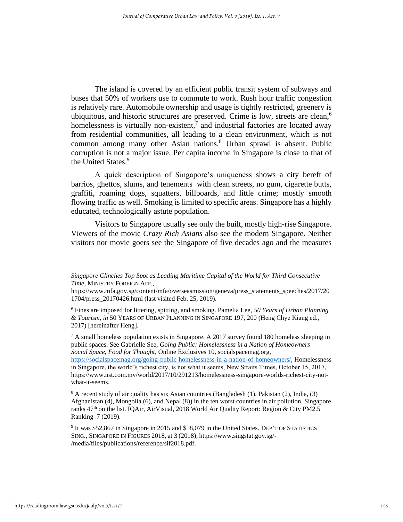The island is covered by an efficient public transit system of subways and buses that 50% of workers use to commute to work. Rush hour traffic congestion is relatively rare. Automobile ownership and usage is tightly restricted, greenery is ubiquitous, and historic structures are preserved. Crime is low, streets are clean, 6 homelessness is virtually non-existent, $\lambda$  and industrial factories are located away from residential communities, all leading to a clean environment, which is not common among many other Asian nations.<sup>8</sup> Urban sprawl is absent. Public corruption is not a major issue. Per capita income in Singapore is close to that of the United States.<sup>9</sup>

A quick description of Singapore's uniqueness shows a city bereft of barrios, ghettos, slums, and tenements with clean streets, no gum, cigarette butts, graffiti, roaming dogs, squatters, billboards, and little crime; mostly smooth flowing traffic as well. Smoking is limited to specific areas. Singapore has a highly educated, technologically astute population.

Visitors to Singapore usually see only the built, mostly high-rise Singapore. Viewers of the movie *Crazy Rich Asians* also see the modern Singapore. Neither visitors nor movie goers see the Singapore of five decades ago and the measures

*Singapore Clinches Top Spot as Leading Maritime Capital of the World for Third Consecutive Time*, MINISTRY FOREIGN AFF.,

https://www.mfa.gov.sg/content/mfa/overseasmission/geneva/press\_statements\_speeches/2017/20 1704/press\_20170426.html (last visited Feb. 25, 2019).

<sup>6</sup> Fines are imposed for littering, spitting, and smoking. Pamelia Lee, *50 Years of Urban Planning & Tourism, in* 50 YEARS OF URBAN PLANNING IN SINGAPORE 197, 200 (Heng Chye Kiang ed., 2017) [hereinafter Heng].

 $<sup>7</sup>$  A small homeless population exists in Singapore. A 2017 survey found 180 homeless sleeping in</sup> public spaces. See Gabrielle See, *Going Public: Homelessness in a Nation of Homeowners – Social Space, Food for Thought*, Online Exclusives 10, socialspacemag.org,

[https://socialspacemag.org/going-public-homelessness-in-a-nation-of-homeowners/,](https://socialspacemag.org/going-public-homelessness-in-a-nation-of-homeowners/) Homelessness in Singapore, the world's richest city, is not what it seems, New Straits Times, October 15, 2017, https://www.nst.com.my/world/2017/10/291213/homelessness-singapore-worlds-richest-city-notwhat-it-seems.

 $8$  A recent study of air quality has six Asian countries (Bangladesh (1), Pakistan (2), India, (3) Afghanistan (4), Mongolia (6), and Nepal (8)) in the ten worst countries in air pollution. Singapore ranks  $47<sup>th</sup>$  on the list. IQAir, AirVisual, 2018 World Air Quality Report: Region & City PM2.5 Ranking 7 (2019).

<sup>&</sup>lt;sup>9</sup> It was \$52,867 in Singapore in 2015 and \$58,079 in the United States. DEP'T OF STATISTICS SING., SINGAPORE IN FIGURES 2018, at 3 (2018), https://www.singstat.gov.sg/- /media/files/publications/reference/sif2018.pdf.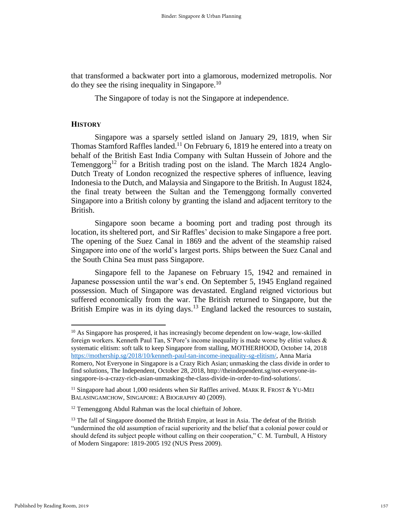that transformed a backwater port into a glamorous, modernized metropolis. Nor do they see the rising inequality in Singapore.<sup>10</sup>

The Singapore of today is not the Singapore at independence.

### **HISTORY**

Singapore was a sparsely settled island on January 29, 1819, when Sir Thomas Stamford Raffles landed.<sup>11</sup> On February 6, 1819 he entered into a treaty on behalf of the British East India Company with Sultan Hussein of Johore and the Temenggorg<sup>12</sup> for a British trading post on the island. The March 1824 Anglo-Dutch Treaty of London recognized the respective spheres of influence, leaving Indonesia to the Dutch, and Malaysia and Singapore to the British. In August 1824, the final treaty between the Sultan and the Temenggong formally converted Singapore into a British colony by granting the island and adjacent territory to the British.

Singapore soon became a booming port and trading post through its location, its sheltered port, and Sir Raffles' decision to make Singapore a free port. The opening of the Suez Canal in 1869 and the advent of the steamship raised Singapore into one of the world's largest ports. Ships between the Suez Canal and the South China Sea must pass Singapore.

Singapore fell to the Japanese on February 15, 1942 and remained in Japanese possession until the war's end. On September 5, 1945 England regained possession. Much of Singapore was devastated. England reigned victorious but suffered economically from the war. The British returned to Singapore, but the British Empire was in its dying days.<sup>13</sup> England lacked the resources to sustain,

 $10$  As Singapore has prospered, it has increasingly become dependent on low-wage, low-skilled foreign workers. Kenneth Paul Tan, S'Pore's income inequality is made worse by elitist values & systematic elitism: soft talk to keep Singapore from stalling, MOTHERHOOD, October 14, 2018 [https://mothership.sg/2018/10/kenneth-paul-tan-income-inequality-sg-elitism/,](https://mothership.sg/2018/10/kenneth-paul-tan-income-inequality-sg-elitism/) Anna Maria Romero, Not Everyone in Singapore is a Crazy Rich Asian; unmasking the class divide in order to find solutions, The Independent, October 28, 2018, http://theindependent.sg/not-everyone-insingapore-is-a-crazy-rich-asian-unmasking-the-class-divide-in-order-to-find-solutions/.

<sup>&</sup>lt;sup>11</sup> Singapore had about 1,000 residents when Sir Raffles arrived. MARK R. FROST  $&$  YU-MEI BALASINGAMCHOW, SINGAPORE: A BIOGRAPHY 40 (2009).

<sup>&</sup>lt;sup>12</sup> Temenggong Abdul Rahman was the local chieftain of Johore.

<sup>&</sup>lt;sup>13</sup> The fall of Singapore doomed the British Empire, at least in Asia. The defeat of the British "undermined the old assumption of racial superiority and the belief that a colonial power could or should defend its subject people without calling on their cooperation," C. M. Turnbull, A History of Modern Singapore: 1819-2005 192 (NUS Press 2009).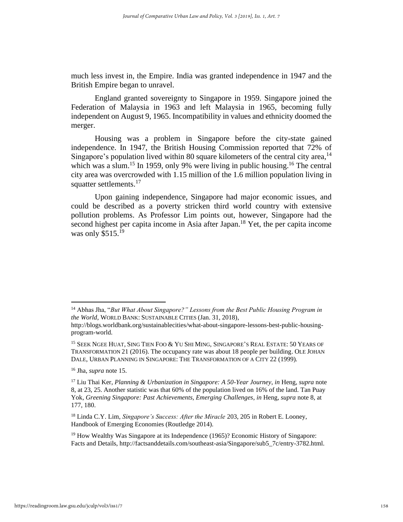much less invest in, the Empire. India was granted independence in 1947 and the British Empire began to unravel.

England granted sovereignty to Singapore in 1959. Singapore joined the Federation of Malaysia in 1963 and left Malaysia in 1965, becoming fully independent on August 9, 1965. Incompatibility in values and ethnicity doomed the merger.

Housing was a problem in Singapore before the city-state gained independence. In 1947, the British Housing Commission reported that 72% of Singapore's population lived within 80 square kilometers of the central city area,<sup>14</sup> which was a slum.<sup>15</sup> In 1959, only 9% were living in public housing.<sup>16</sup> The central city area was overcrowded with 1.15 million of the 1.6 million population living in squatter settlements.<sup>17</sup>

Upon gaining independence, Singapore had major economic issues, and could be described as a poverty stricken third world country with extensive pollution problems. As Professor Lim points out, however, Singapore had the second highest per capita income in Asia after Japan.<sup>18</sup> Yet, the per capita income was only \$515.<sup>19</sup>

<sup>18</sup> Linda C.Y. Lim, *Singapore's Success: After the Miracle* 203, 205 in Robert E. Looney, Handbook of Emerging Economies (Routledge 2014).

<sup>14</sup> Abhas Jha, "*But What About Singapore?" Lessons from the Best Public Housing Program in the World*, WORLD BANK: SUSTAINABLE CITIES (Jan. 31, 2018),

http://blogs.worldbank.org/sustainablecities/what-about-singapore-lessons-best-public-housingprogram-world.

<sup>15</sup> SEEK NGEE HUAT, SING TIEN FOO & YU SHI MING, SINGAPORE'S REAL ESTATE: 50 YEARS OF TRANSFORMATION 21 (2016). The occupancy rate was about 18 people per building. OLE JOHAN DALE, URBAN PLANNING IN SINGAPORE: THE TRANSFORMATION OF A CITY 22 (1999)*.*

<sup>16</sup> Jha, *supra* note 15.

<sup>17</sup> Liu Thai Ker, *Planning & Urbanization in Singapore: A 50-Year Journey*, *in* Heng*, supra* note 8, at 23, 25. Another statistic was that 60% of the population lived on 16% of the land. Tan Puay Yok, *Greening Singapore: Past Achievements, Emerging Challenges*, *in* Heng*, supra* note 8, at 177, 180.

<sup>&</sup>lt;sup>19</sup> How Wealthy Was Singapore at its Independence (1965)? Economic History of Singapore: Facts and Details, http://factsanddetails.com/southeast-asia/Singapore/sub5\_7c/entry-3782.html.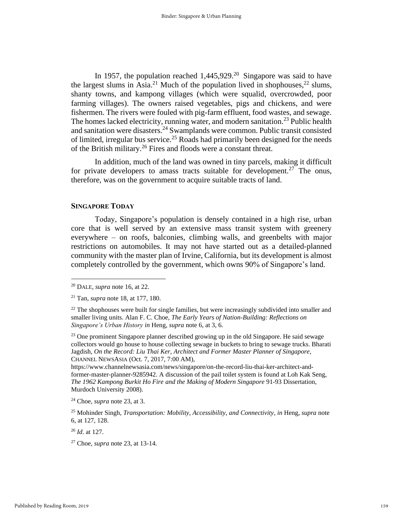In 1957, the population reached  $1,445,929$ <sup>20</sup> Singapore was said to have the largest slums in Asia.<sup>21</sup> Much of the population lived in shophouses,<sup>22</sup> slums, shanty towns, and kampong villages (which were squalid, overcrowded, poor farming villages). The owners raised vegetables, pigs and chickens, and were fishermen. The rivers were fouled with pig-farm effluent, food wastes, and sewage. The homes lacked electricity, running water, and modern sanitation.<sup>23</sup> Public health and sanitation were disasters.<sup>24</sup> Swamplands were common. Public transit consisted of limited, irregular bus service.<sup>25</sup> Roads had primarily been designed for the needs of the British military.<sup>26</sup> Fires and floods were a constant threat.

In addition, much of the land was owned in tiny parcels, making it difficult for private developers to amass tracts suitable for development.<sup>27</sup> The onus, therefore, was on the government to acquire suitable tracts of land.

### **SINGAPORE TODAY**

 Today, Singapore's population is densely contained in a high rise, urban core that is well served by an extensive mass transit system with greenery everywhere – on roofs, balconies, climbing walls, and greenbelts with major restrictions on automobiles. It may not have started out as a detailed-planned community with the master plan of Irvine, California, but its development is almost completely controlled by the government, which owns 90% of Singapore's land.

<sup>24</sup> Choe*, supra* note 23, at 3.

<sup>26</sup> *Id*. at 127.

<sup>27</sup> Choe*, supra* note 23, at 13-14.

<sup>20</sup> DALE*, supra* note 16, at 22.

<sup>21</sup> Tan*, supra* note 18, at 177, 180.

 $22$  The shophouses were built for single families, but were increasingly subdivided into smaller and smaller living units. Alan F. C. Choe, *The Early Years of Nation-Building: Reflections on Singapore's Urban History in* Heng*, supra* note 6, at 3, 6.

<sup>&</sup>lt;sup>23</sup> One prominent Singapore planner described growing up in the old Singapore. He said sewage collectors would go house to house collecting sewage in buckets to bring to sewage trucks. Bharati Jagdish, *On the Record: Liu Thai Ker, Architect and Former Master Planner of Singapore*, CHANNEL NEWSASIA (Oct. 7, 2017, 7:00 AM),

https://www.channelnewsasia.com/news/singapore/on-the-record-liu-thai-ker-architect-andformer-master-planner-9285942. A discussion of the pail toilet system is found at Loh Kak Seng, *The 1962 Kampong Burkit Ho Fire and the Making of Modern Singapore* 91-93 Dissertation, Murdoch University 2008).

<sup>25</sup> Mohinder Singh, *Transportation: Mobility, Accessibility, and Connectivity*, *in* Heng*, supra* note 6, at 127, 128.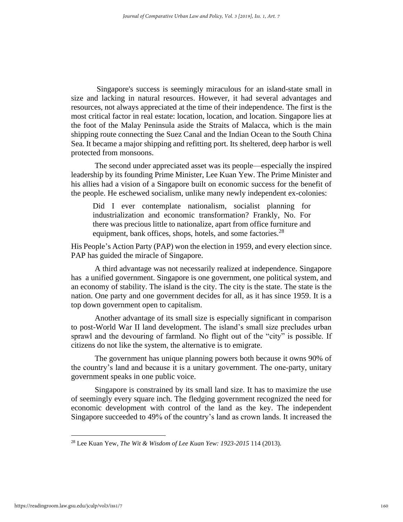Singapore's success is seemingly miraculous for an island-state small in size and lacking in natural resources. However, it had several advantages and resources, not always appreciated at the time of their independence. The first is the most critical factor in real estate: location, location, and location. Singapore lies at the foot of the Malay Peninsula aside the Straits of Malacca, which is the main shipping route connecting the Suez Canal and the Indian Ocean to the South China Sea. It became a major shipping and refitting port. Its sheltered, deep harbor is well protected from monsoons.

 The second under appreciated asset was its people—especially the inspired leadership by its founding Prime Minister, Lee Kuan Yew. The Prime Minister and his allies had a vision of a Singapore built on economic success for the benefit of the people. He eschewed socialism, unlike many newly independent ex-colonies:

Did I ever contemplate nationalism, socialist planning for industrialization and economic transformation? Frankly, No. For there was precious little to nationalize, apart from office furniture and equipment, bank offices, shops, hotels, and some factories.<sup>28</sup>

His People's Action Party (PAP) won the election in 1959, and every election since. PAP has guided the miracle of Singapore.

 A third advantage was not necessarily realized at independence. Singapore has a unified government. Singapore is one government, one political system, and an economy of stability. The island is the city. The city is the state. The state is the nation. One party and one government decides for all, as it has since 1959. It is a top down government open to capitalism.

 Another advantage of its small size is especially significant in comparison to post-World War II land development. The island's small size precludes urban sprawl and the devouring of farmland. No flight out of the "city" is possible. If citizens do not like the system, the alternative is to emigrate.

 The government has unique planning powers both because it owns 90% of the country's land and because it is a unitary government. The one-party, unitary government speaks in one public voice.

 Singapore is constrained by its small land size. It has to maximize the use of seemingly every square inch. The fledging government recognized the need for economic development with control of the land as the key. The independent Singapore succeeded to 49% of the country's land as crown lands. It increased the

<sup>28</sup> Lee Kuan Yew, *The Wit & Wisdom of Lee Kuan Yew: 1923-2015* 114 (2013).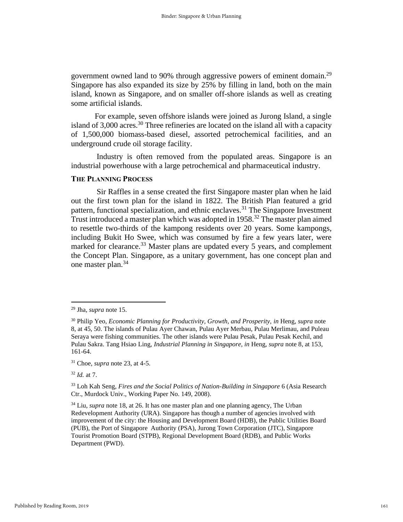government owned land to 90% through aggressive powers of eminent domain.<sup>29</sup> Singapore has also expanded its size by 25% by filling in land, both on the main island, known as Singapore, and on smaller off-shore islands as well as creating some artificial islands.

 For example, seven offshore islands were joined as Jurong Island, a single island of 3,000 acres.<sup>30</sup> Three refineries are located on the island all with a capacity of 1,500,000 biomass-based diesel, assorted petrochemical facilities, and an underground crude oil storage facility.

 Industry is often removed from the populated areas. Singapore is an industrial powerhouse with a large petrochemical and pharmaceutical industry.

### **THE PLANNING PROCESS**

 Sir Raffles in a sense created the first Singapore master plan when he laid out the first town plan for the island in 1822. The British Plan featured a grid pattern, functional specialization, and ethnic enclaves.<sup>31</sup> The Singapore Investment Trust introduced a master plan which was adopted in 1958.<sup>32</sup> The master plan aimed to resettle two-thirds of the kampong residents over 20 years. Some kampongs, including Bukit Ho Swee, which was consumed by fire a few years later, were marked for clearance.<sup>33</sup> Master plans are updated every 5 years, and complement the Concept Plan. Singapore, as a unitary government, has one concept plan and one master plan.<sup>34</sup>

<sup>32</sup> *Id.* at 7.

<sup>29</sup> Jha, *supra* note 15.

<sup>30</sup> Philip Yeo, *Economic Planning for Productivity, Growth, and Prosperity, in* Heng, *supra* note 8, at 45, 50. The islands of Pulau Ayer Chawan, Pulau Ayer Merbau, Pulau Merlimau, and Puleau Seraya were fishing communities. The other islands were Pulau Pesak, Pulau Pesak Kechil, and Pulau Sakra. Tang Hsiao Ling, *Industrial Planning in Singapore, in* Heng, *supra* note 8, at 153, 161-64.

<sup>31</sup> Choe, *supra* note 23, at 4-5.

<sup>33</sup> Loh Kah Seng, *Fires and the Social Politics of Nation-Building in Singapore* 6 (Asia Research Ctr., Murdock Univ., Working Paper No. 149, 2008).

<sup>34</sup> Liu*, supra* note 18, at 26. It has one master plan and one planning agency, The Urban Redevelopment Authority (URA). Singapore has though a number of agencies involved with improvement of the city: the Housing and Development Board (HDB), the Public Utilities Board (PUB), the Port of Singapore Authority (PSA), Jurong Town Corporation (JTC), Singapore Tourist Promotion Board (STPB), Regional Development Board (RDB), and Public Works Department (PWD).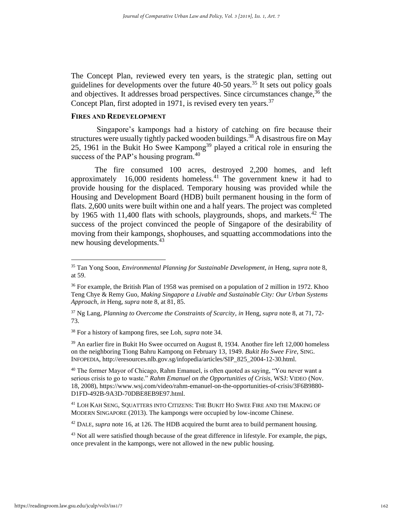The Concept Plan, reviewed every ten years, is the strategic plan, setting out guidelines for developments over the future  $40-50$  years.<sup>35</sup> It sets out policy goals and objectives. It addresses broad perspectives. Since circumstances change,  $36$  the Concept Plan, first adopted in 1971, is revised every ten years.<sup>37</sup>

### **FIRES AND REDEVELOPMENT**

 Singapore's kampongs had a history of catching on fire because their structures were usually tightly packed wooden buildings.<sup>38</sup> A disastrous fire on May 25, 1961 in the Bukit Ho Swee Kampong<sup>39</sup> played a critical role in ensuring the success of the PAP's housing program.<sup>40</sup>

 The fire consumed 100 acres, destroyed 2,200 homes, and left approximately  $16,000$  residents homeless.<sup>41</sup> The government knew it had to provide housing for the displaced. Temporary housing was provided while the Housing and Development Board (HDB) built permanent housing in the form of flats. 2,600 units were built within one and a half years. The project was completed by 1965 with 11,400 flats with schools, playgrounds, shops, and markets.<sup>42</sup> The success of the project convinced the people of Singapore of the desirability of moving from their kampongs, shophouses, and squatting accommodations into the new housing developments.<sup>43</sup>

<sup>38</sup> For a history of kampong fires, see Loh, *supra* note 34.

 $39$  An earlier fire in Bukit Ho Swee occurred on August 8, 1934. Another fire left 12,000 homeless on the neighboring Tiong Bahru Kampong on February 13, 1949. *Bukit Ho Swee Fire*, SING. INFOPEDIA, http://eresources.nlb.gov.sg/infopedia/articles/SIP\_825\_2004-12-30.html.

<sup>40</sup> The former Mayor of Chicago, Rahm Emanuel, is often quoted as saying, "You never want a serious crisis to go to waste." *Rahm Emanuel on the Opportunities of Crisis*, WSJ: VIDEO (Nov. 18, 2008), https://www.wsj.com/video/rahm-emanuel-on-the-opportunities-of-crisis/3F6B9880- D1FD-492B-9A3D-70DBE8EB9E97.html.

<sup>41</sup> LOH KAH SENG, SQUATTERS INTO CITIZENS: THE BUKIT HO SWEE FIRE AND THE MAKING OF MODERN SINGAPORE (2013). The kampongs were occupied by low-income Chinese.

<sup>42</sup> DALE*, supra* note 16, at 126. The HDB acquired the burnt area to build permanent housing.

<sup>43</sup> Not all were satisfied though because of the great difference in lifestyle. For example, the pigs, once prevalent in the kampongs, were not allowed in the new public housing.

<sup>&</sup>lt;sup>35</sup> Tan Yong Soon, *Environmental Planning for Sustainable Development, in* Heng, *supra* note 8, at 59.

<sup>&</sup>lt;sup>36</sup> For example, the British Plan of 1958 was premised on a population of 2 million in 1972. Khoo Teng Chye & Remy Guo, *Making Singapore a Livable and Sustainable City: Our Urban Systems Approach*, *in* Heng, *supra* note 8, at 81, 85.

<sup>37</sup> Ng Lang, *Planning to Overcome the Constraints of Scarcity*, *in* Heng, *supra* note 8, at 71, 72- 73.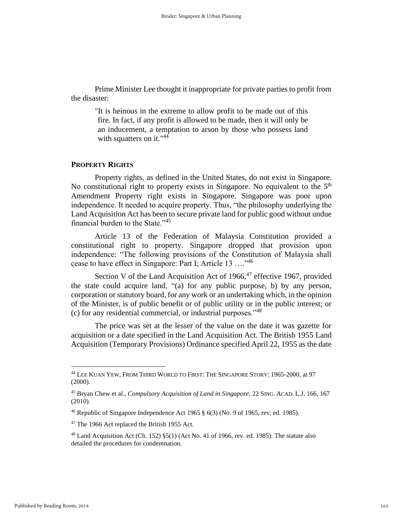Prime Minister Lee thought it inappropriate for private parties to profit from the disaster:

 "It is heinous in the extreme to allow profit to be made out of this fire. In fact, if any profit is allowed to be made, then it will only be an inducement, a temptation to arson by those who possess land with squatters on it."<sup>44</sup>

### **PROPERTY RIGHTS**

 Property rights, as defined in the United States, do not exist in Singapore. No constitutional right to property exists in Singapore. No equivalent to the  $5<sup>th</sup>$ Amendment Property right exists in Singapore. Singapore was poor upon independence. It needed to acquire property. Thus, "the philosophy underlying the Land Acquisition Act has been to secure private land for public good without undue financial burden to the State."<sup>45</sup>

 Article 13 of the Federation of Malaysia Constitution provided a constitutional right to property. Singapore dropped that provision upon independence: "The following provisions of the Constitution of Malaysia shall cease to have effect in Singapore: Part I; Article 13 …."<sup>46</sup>

Section V of the Land Acquisition Act of  $1966$ ,  $47$  effective 1967, provided the state could acquire land, "(a) for any public purpose, b) by any person, corporation or statutory board, for any work or an undertaking which, in the opinion of the Minister, is of public benefit or of public utility or in the public interest; or (c) for any residential commercial, or industrial purposes."<sup>48</sup>

 The price was set at the lesser of the value on the date it was gazette for acquisition or a date specified in the Land Acquisition Act. The British 1955 Land Acquisition (Temporary Provisions) Ordinance specified April 22, 1955 as the date

<sup>44</sup> LEE KUAN YEW, FROM THIRD WORLD TO FIRST: THE SINGAPORE STORY: 1965-2000, at 97 (2000).

<sup>45</sup> Bryan Chew et al., *Compulsory Acquisition of Land in Singapore*, 22 SING. ACAD. L.J. 166, 167 (2010)*.*

<sup>&</sup>lt;sup>46</sup> Republic of Singapore Independence Act 1965  $\S$  6(3) (No. 9 of 1965, rev. ed. 1985).

<sup>47</sup> The 1966 Act replaced the British 1955 Act.

 $48$  Land Acquisition Act (Ch. 152)  $\S5(1)$  (Act No. 41 of 1966, rev. ed. 1985). The statute also detailed the procedures for condemnation.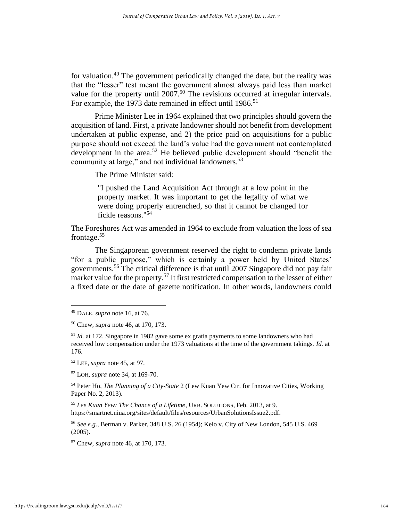for valuation.<sup>49</sup> The government periodically changed the date, but the reality was that the "lesser" test meant the government almost always paid less than market value for the property until 2007.<sup>50</sup> The revisions occurred at irregular intervals. For example, the 1973 date remained in effect until 1986.<sup>51</sup>

 Prime Minister Lee in 1964 explained that two principles should govern the acquisition of land. First, a private landowner should not benefit from development undertaken at public expense, and 2) the price paid on acquisitions for a public purpose should not exceed the land's value had the government not contemplated development in the area.<sup>52</sup> He believed public development should "benefit the community at large," and not individual landowners.<sup>53</sup>

The Prime Minister said:

 "I pushed the Land Acquisition Act through at a low point in the property market. It was important to get the legality of what we were doing properly entrenched, so that it cannot be changed for fickle reasons." 54

The Foreshores Act was amended in 1964 to exclude from valuation the loss of sea frontage.<sup>55</sup>

 The Singaporean government reserved the right to condemn private lands "for a public purpose," which is certainly a power held by United States' governments.<sup>56</sup> The critical difference is that until 2007 Singapore did not pay fair market value for the property.<sup>57</sup> It first restricted compensation to the lesser of either a fixed date or the date of gazette notification. In other words, landowners could

<sup>52</sup> LEE*, supra* note 45, at 97.

<sup>53</sup> LOH*, supra* note 34, at 169-70.

<sup>54</sup> Peter Ho, *The Planning of a City-State* 2 (Lew Kuan Yew Ctr. for Innovative Cities, Working Paper No. 2, 2013).

<sup>55</sup> *Lee Kuan Yew: The Chance of a Lifetime*, URB. SOLUTIONS, Feb. 2013, at 9. https://smartnet.niua.org/sites/default/files/resources/UrbanSolutionsIssue2.pdf.

<sup>56</sup> *See e.g.*, Berman v. Parker, 348 U.S. 26 (1954); Kelo v. City of New London, 545 U.S. 469 (2005).

<sup>57</sup> Chew, *supra* note 46, at 170, 173.

<sup>49</sup> DALE*, supra* note 16, at 76.

<sup>50</sup> Chew*, supra* note 46, at 170, 173.

<sup>51</sup> *Id.* at 172. Singapore in 1982 gave some ex gratia payments to some landowners who had received low compensation under the 1973 valuations at the time of the government takings. *Id.* at 176.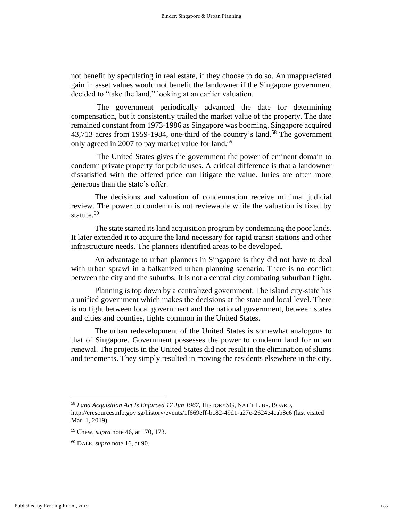not benefit by speculating in real estate, if they choose to do so. An unappreciated gain in asset values would not benefit the landowner if the Singapore government decided to "take the land," looking at an earlier valuation.

 The government periodically advanced the date for determining compensation, but it consistently trailed the market value of the property. The date remained constant from 1973-1986 as Singapore was booming. Singapore acquired 43,713 acres from 1959-1984, one-third of the country's land.<sup>58</sup> The government only agreed in 2007 to pay market value for land.<sup>59</sup>

 The United States gives the government the power of eminent domain to condemn private property for public uses. A critical difference is that a landowner dissatisfied with the offered price can litigate the value. Juries are often more generous than the state's offer.

 The decisions and valuation of condemnation receive minimal judicial review. The power to condemn is not reviewable while the valuation is fixed by statute.<sup>60</sup>

 The state started its land acquisition program by condemning the poor lands. It later extended it to acquire the land necessary for rapid transit stations and other infrastructure needs. The planners identified areas to be developed.

 An advantage to urban planners in Singapore is they did not have to deal with urban sprawl in a balkanized urban planning scenario. There is no conflict between the city and the suburbs. It is not a central city combating suburban flight.

 Planning is top down by a centralized government. The island city-state has a unified government which makes the decisions at the state and local level. There is no fight between local government and the national government, between states and cities and counties, fights common in the United States.

 The urban redevelopment of the United States is somewhat analogous to that of Singapore. Government possesses the power to condemn land for urban renewal. The projects in the United States did not result in the elimination of slums and tenements. They simply resulted in moving the residents elsewhere in the city.

<sup>58</sup> *Land Acquisition Act Is Enforced 17 Jun 1967*, HISTORYSG, NAT'L LIBR. BOARD,

http://eresources.nlb.gov.sg/history/events/1f669eff-bc82-49d1-a27c-2624e4cab8c6 (last visited Mar. 1, 2019).

<sup>59</sup> Chew, *supra* note 46, at 170, 173.

<sup>60</sup> DALE*, supra* note 16, at 90.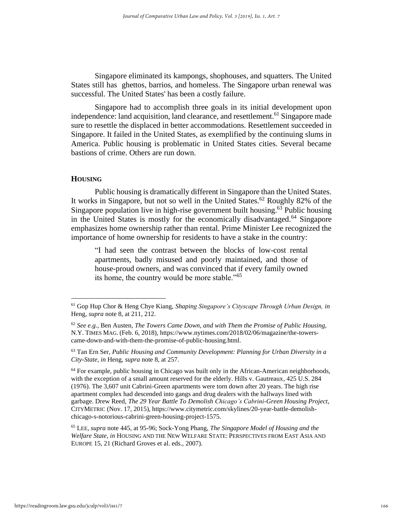Singapore eliminated its kampongs, shophouses, and squatters. The United States still has ghettos, barrios, and homeless. The Singapore urban renewal was successful. The United States' has been a costly failure.

 Singapore had to accomplish three goals in its initial development upon independence: land acquisition, land clearance, and resettlement.<sup>61</sup> Singapore made sure to resettle the displaced in better accommodations. Resettlement succeeded in Singapore. It failed in the United States, as exemplified by the continuing slums in America. Public housing is problematic in United States cities. Several became bastions of crime. Others are run down.

### **HOUSING**

 Public housing is dramatically different in Singapore than the United States. It works in Singapore, but not so well in the United States.<sup>62</sup> Roughly 82% of the Singapore population live in high-rise government built housing. $63$  Public housing in the United States is mostly for the economically disadvantaged.<sup>64</sup> Singapore emphasizes home ownership rather than rental. Prime Minister Lee recognized the importance of home ownership for residents to have a stake in the country:

"I had seen the contrast between the blocks of low-cost rental apartments, badly misused and poorly maintained, and those of house-proud owners, and was convinced that if every family owned its home, the country would be more stable."<sup>65</sup>

 $64$  For example, public housing in Chicago was built only in the African-American neighborhoods, with the exception of a small amount reserved for the elderly. Hills v. Gautreaux*,* 425 U.S. 284 (1976). The 3,607 unit Cabrini-Green apartments were torn down after 20 years. The high rise apartment complex had descended into gangs and drug dealers with the hallways lined with garbage. Drew Reed, *The 29 Year Battle To Demolish Chicago's Cabrini-Green Housing Project*, CITYMETRIC (Nov. 17, 2015), https://www.citymetric.com/skylines/20-year-battle-demolishchicago-s-notorious-cabrini-green-housing-project-1575.

<sup>65</sup> LEE*, supra* note 445, at 95-96; Sock-Yong Phang, *The Singapore Model of Housing and the Welfare State*, *in* HOUSING AND THE NEW WELFARE STATE: PERSPECTIVES FROM EAST ASIA AND EUROPE 15, 21 (Richard Groves et al. eds., 2007).

<sup>61</sup> Gop Hup Chor & Heng Chye Kiang, *Shaping Singapore's Cityscape Through Urban Design, in* Heng, *supra* note 8, at 211, 212.

<sup>62</sup> *See e.g.*, Ben Austen, *The Towers Came Down, and with Them the Promise of Public Housing,* N.Y. TIMES MAG. (Feb. 6, 2018), https://www.nytimes.com/2018/02/06/magazine/the-towerscame-down-and-with-them-the-promise-of-public-housing.html.

<sup>63</sup> Tan Ern Ser, *Public Housing and Community Development: Planning for Urban Diversity in a City-State*, *in* Heng, *supra* note 8, at 257.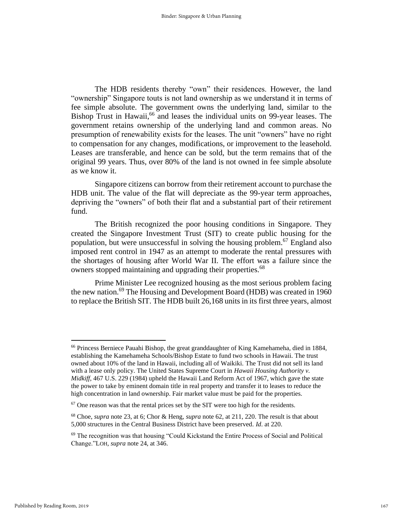The HDB residents thereby "own" their residences. However, the land "ownership" Singapore touts is not land ownership as we understand it in terms of fee simple absolute. The government owns the underlying land, similar to the Bishop Trust in Hawaii,<sup>66</sup> and leases the individual units on 99-year leases. The government retains ownership of the underlying land and common areas. No presumption of renewability exists for the leases. The unit "owners" have no right to compensation for any changes, modifications, or improvement to the leasehold. Leases are transferable, and hence can be sold, but the term remains that of the original 99 years. Thus, over 80% of the land is not owned in fee simple absolute as we know it.

 Singapore citizens can borrow from their retirement account to purchase the HDB unit. The value of the flat will depreciate as the 99-year term approaches, depriving the "owners" of both their flat and a substantial part of their retirement fund.

The British recognized the poor housing conditions in Singapore. They created the Singapore Investment Trust (SIT) to create public housing for the population, but were unsuccessful in solving the housing problem.<sup>67</sup> England also imposed rent control in 1947 as an attempt to moderate the rental pressures with the shortages of housing after World War II. The effort was a failure since the owners stopped maintaining and upgrading their properties.<sup>68</sup>

Prime Minister Lee recognized housing as the most serious problem facing the new nation.<sup>69</sup> The Housing and Development Board (HDB) was created in 1960 to replace the British SIT. The HDB built 26,168 units in its first three years, almost

<sup>66</sup> Princess Berniece Pauahi Bishop, the great granddaughter of King Kamehameha, died in 1884, establishing the Kamehameha Schools/Bishop Estate to fund two schools in Hawaii. The trust owned about 10% of the land in Hawaii, including all of Waikiki. The Trust did not sell its land with a lease only policy. The United States Supreme Court in *Hawaii Housing Authority v. Midkiff*, 467 U.S. 229 (1984) upheld the Hawaii Land Reform Act of 1967, which gave the state the power to take by eminent domain title in real property and transfer it to leases to reduce the high concentration in land ownership. Fair market value must be paid for the properties.

 $67$  One reason was that the rental prices set by the SIT were too high for the residents.

<sup>68</sup> Choe, *supra* note 23, at 6; Chor & Heng, *supra* note 62, at 211, 220. The result is that about 5,000 structures in the Central Business District have been preserved. *Id*. at 220.

<sup>69</sup> The recognition was that housing "Could Kickstand the Entire Process of Social and Political Change."LOH*, supra* note 24, at 346.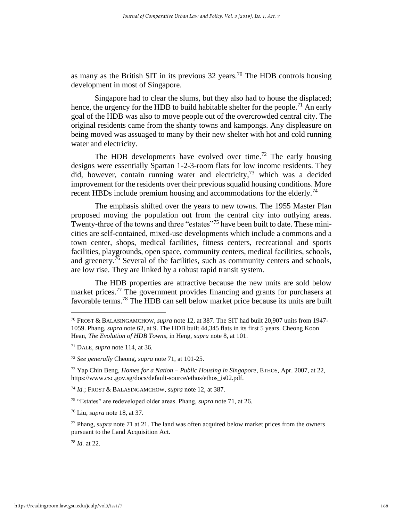as many as the British SIT in its previous  $32$  years.<sup>70</sup> The HDB controls housing development in most of Singapore.

Singapore had to clear the slums, but they also had to house the displaced; hence, the urgency for the HDB to build habitable shelter for the people.<sup>71</sup> An early goal of the HDB was also to move people out of the overcrowded central city. The original residents came from the shanty towns and kampongs. Any displeasure on being moved was assuaged to many by their new shelter with hot and cold running water and electricity.

The HDB developments have evolved over time.<sup>72</sup> The early housing designs were essentially Spartan 1-2-3-room flats for low income residents. They did, however, contain running water and electricity,  $73$  which was a decided improvement for the residents over their previous squalid housing conditions. More recent HBDs include premium housing and accommodations for the elderly.<sup>74</sup>

 The emphasis shifted over the years to new towns. The 1955 Master Plan proposed moving the population out from the central city into outlying areas. Twenty-three of the towns and three "estates"<sup>75</sup> have been built to date. These minicities are self-contained, mixed-use developments which include a commons and a town center, shops, medical facilities, fitness centers, recreational and sports facilities, playgrounds, open space, community centers, medical facilities, schools, and greenery.<sup>76</sup> Several of the facilities, such as community centers and schools, are low rise. They are linked by a robust rapid transit system.

 The HDB properties are attractive because the new units are sold below market prices.<sup>77</sup> The government provides financing and grants for purchasers at favorable terms.<sup>78</sup> The HDB can sell below market price because its units are built

<sup>70</sup> FROST & BALASINGAMCHOW*, supra* note 12, at 387. The SIT had built 20,907 units from 1947- 1059. Phang, *supra* note 62, at 9. The HDB built 44,345 flats in its first 5 years. Cheong Koon Hean, *The Evolution of HDB Towns*, in Heng, *supra* note 8, at 101.

<sup>71</sup> DALE*, supra* note 114, at 36.

<sup>72</sup> *See generally* Cheong, *supra* note 71, at 101-25.

<sup>73</sup> Yap Chin Beng, *Homes for a Nation – Public Housing in Singapore*, ETHOS, Apr. 2007, at 22, https://www.csc.gov.sg/docs/default-source/ethos/ethos\_is02.pdf.

<sup>74</sup> *Id.*; FROST & BALASINGAMCHOW*, supra* note 12, at 387.

<sup>75</sup> "Estates" are redeveloped older areas. Phang, *supra* note 71, at 26.

<sup>76</sup> Liu, *supra* note 18, at 37.

<sup>77</sup> Phang, *supra* note 71 at 21. The land was often acquired below market prices from the owners pursuant to the Land Acquisition Act.

<sup>78</sup> *Id.* at 22.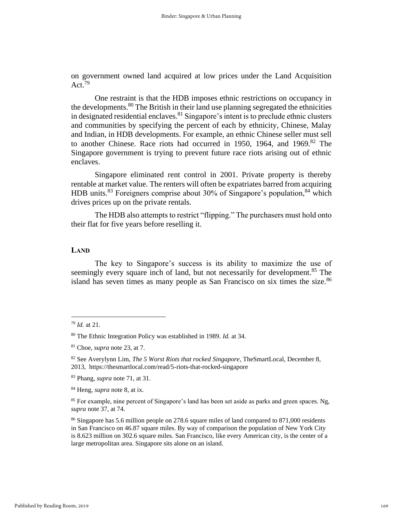on government owned land acquired at low prices under the Land Acquisition Act.<sup>79</sup>

One restraint is that the HDB imposes ethnic restrictions on occupancy in the developments.<sup>80</sup> The British in their land use planning segregated the ethnicities in designated residential enclaves.<sup>81</sup> Singapore's intent is to preclude ethnic clusters and communities by specifying the percent of each by ethnicity, Chinese, Malay and Indian, in HDB developments. For example, an ethnic Chinese seller must sell to another Chinese. Race riots had occurred in 1950, 1964, and 1969.<sup>82</sup> The Singapore government is trying to prevent future race riots arising out of ethnic enclaves.

 Singapore eliminated rent control in 2001. Private property is thereby rentable at market value. The renters will often be expatriates barred from acquiring HDB units.<sup>83</sup> Foreigners comprise about 30% of Singapore's population,  $84$  which drives prices up on the private rentals.

 The HDB also attempts to restrict "flipping." The purchasers must hold onto their flat for five years before reselling it.

### **LAND**

 The key to Singapore's success is its ability to maximize the use of seemingly every square inch of land, but not necessarily for development.<sup>85</sup> The island has seven times as many people as San Francisco on six times the size.<sup>86</sup>

<sup>79</sup> *Id.* at 21.

<sup>80</sup> The Ethnic Integration Policy was established in 1989. *Id.* at 34.

<sup>81</sup> Choe, *supra* note 23, at 7.

<sup>82</sup> See Averylynn Lim, *The 5 Worst Riots that rocked Singapore,* TheSmartLocal, December 8, 2013, https://thesmartlocal.com/read/5-riots-that-rocked-singapore

<sup>83</sup> Phang, *supra* note 71, at 31.

<sup>84</sup> Heng, *supra* note 8, at ix.

<sup>85</sup> For example, nine percent of Singapore's land has been set aside as parks and green spaces. Ng, *supra* note 37, at 74.

<sup>&</sup>lt;sup>86</sup> Singapore has 5.6 million people on 278.6 square miles of land compared to 871,000 residents in San Francisco on 46.87 square miles. By way of comparison the population of New York City is 8.623 million on 302.6 square miles. San Francisco, like every American city, is the center of a large metropolitan area. Singapore sits alone on an island.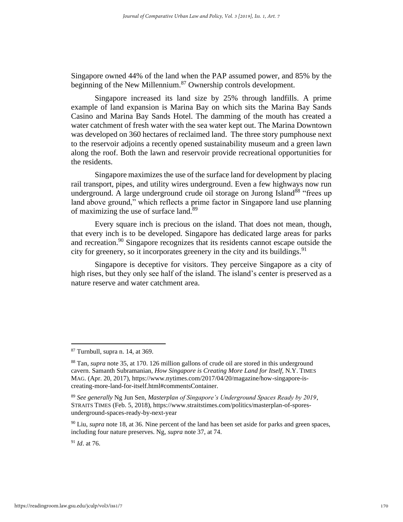Singapore owned 44% of the land when the PAP assumed power, and 85% by the beginning of the New Millennium.<sup>87</sup> Ownership controls development.

 Singapore increased its land size by 25% through landfills. A prime example of land expansion is Marina Bay on which sits the Marina Bay Sands Casino and Marina Bay Sands Hotel. The damming of the mouth has created a water catchment of fresh water with the sea water kept out. The Marina Downtown was developed on 360 hectares of reclaimed land. The three story pumphouse next to the reservoir adjoins a recently opened sustainability museum and a green lawn along the roof. Both the lawn and reservoir provide recreational opportunities for the residents.

 Singapore maximizes the use of the surface land for development by placing rail transport, pipes, and utility wires underground. Even a few highways now run underground. A large underground crude oil storage on Jurong Island<sup>88</sup> "frees up land above ground," which reflects a prime factor in Singapore land use planning of maximizing the use of surface land.<sup>89</sup>

 Every square inch is precious on the island. That does not mean, though, that every inch is to be developed. Singapore has dedicated large areas for parks and recreation.<sup>90</sup> Singapore recognizes that its residents cannot escape outside the city for greenery, so it incorporates greenery in the city and its buildings.  $91$ 

 Singapore is deceptive for visitors. They perceive Singapore as a city of high rises, but they only see half of the island. The island's center is preserved as a nature reserve and water catchment area.

 $87$  Turnbull, supra n. 14, at 369.

<sup>88</sup> Tan*, supra* note 35, at 170. 126 million gallons of crude oil are stored in this underground cavern. Samanth Subramanian, *How Singapore is Creating More Land for Itself,* N.Y. TIMES MAG. (Apr. 20, 2017), https://www.nytimes.com/2017/04/20/magazine/how-singapore-iscreating-more-land-for-itself.html#commentsContainer.

<sup>89</sup> *See generally* Ng Jun Sen, *Masterplan of Singapore's Underground Spaces Ready by 2019*, STRAITS TIMES (Feb. 5, 2018), https://www.straitstimes.com/politics/masterplan-of-sporesunderground-spaces-ready-by-next-year

<sup>90</sup> Liu, *supra* note 18, at 36. Nine percent of the land has been set aside for parks and green spaces, including four nature preserves. Ng, *supra* note 37, at 74.

<sup>91</sup> *Id*. at 76.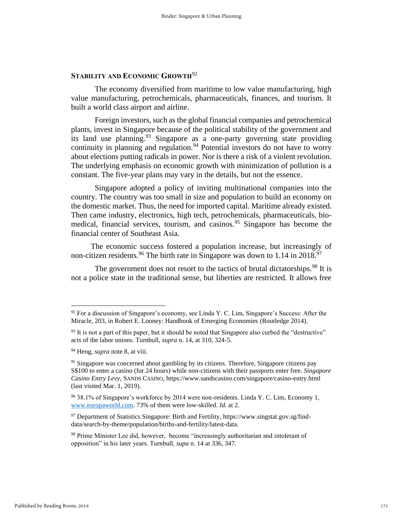### **STABILITY AND ECONOMIC GROWTH**<sup>92</sup>

 The economy diversified from maritime to low value manufacturing, high value manufacturing, petrochemicals, pharmaceuticals, finances, and tourism. It built a world class airport and airline.

 Foreign investors, such as the global financial companies and petrochemical plants, invest in Singapore because of the political stability of the government and its land use planning.  $93$  Singapore as a one-party governing state providing continuity in planning and regulation.<sup>94</sup> Potential investors do not have to worry about elections putting radicals in power. Nor is there a risk of a violent revolution. The underlying emphasis on economic growth with minimization of pollution is a constant. The five-year plans may vary in the details, but not the essence.

 Singapore adopted a policy of inviting multinational companies into the country. The country was too small in size and population to build an economy on the domestic market. Thus, the need for imported capital. Maritime already existed. Then came industry, electronics, high tech, petrochemicals, pharmaceuticals, biomedical, financial services, tourism, and casinos.<sup>95</sup> Singapore has become the financial center of Southeast Asia.

 The economic success fostered a population increase, but increasingly of non-citizen residents.<sup>96</sup> The birth rate in Singapore was down to 1.14 in 2018.<sup>97</sup>

The government does not resort to the tactics of brutal dictatorships.<sup>98</sup> It is not a police state in the traditional sense, but liberties are restricted. It allows free

 $92$  For a discussion of Singapore's economy, see Linda Y. C. Lim, Singapore's Success: After the Miracle, 203, in Robert E. Looney: Handbook of Emerging Economies (Routledge 2014).

 $93$  It is not a part of this paper, but it should be noted that Singapore also curbed the "destructive" acts of the labor unions. Turnbull, *supra* n. 14, at 310, 324-5.

<sup>94</sup> Heng*, supra* note 8, at viii.

 $95$  Singapore was concerned about gambling by its citizens. Therefore, Singapore citizens pay S\$100 to enter a casino (for 24 hours) while non-citizens with their passports enter free. *Singapore Casino Entry Levy*, SANDS CASINO, https://www.sandscasino.com/singapore/casino-entry.html (last visited Mar. 1, 2019).

<sup>96</sup> 38.1% of Singapore's workforce by 2014 were non-residents. Linda Y. C. Lim, Economy 1, [www.europaworld.com.](http://www.europaworld.com/) 73% of them were low-skilled. *Id.* at 2.

 $97$  Department of Statistics Singapore: Birth and Fertility, https://www.singstat.gov.sg/finddata/search-by-theme/population/births-and-fertility/latest-data.

<sup>&</sup>lt;sup>98</sup> Prime Minister Lee did, however, become "increasingly authoritarian and intolerant of opposition" in his later years. Turnbull, *supa* n. 14 at 336, 347.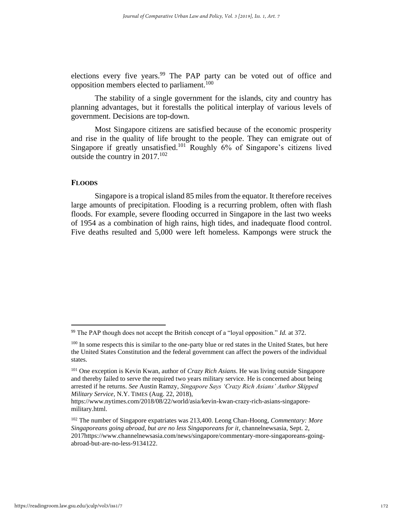elections every five years.<sup>99</sup> The PAP party can be voted out of office and opposition members elected to parliament.<sup>100</sup>

 The stability of a single government for the islands, city and country has planning advantages, but it forestalls the political interplay of various levels of government. Decisions are top-down.

 Most Singapore citizens are satisfied because of the economic prosperity and rise in the quality of life brought to the people. They can emigrate out of Singapore if greatly unsatisfied.<sup>101</sup> Roughly  $6\%$  of Singapore's citizens lived outside the country in  $2017$ <sup>102</sup>

### **FLOODS**

 Singapore is a tropical island 85 miles from the equator. It therefore receives large amounts of precipitation. Flooding is a recurring problem, often with flash floods. For example, severe flooding occurred in Singapore in the last two weeks of 1954 as a combination of high rains, high tides, and inadequate flood control. Five deaths resulted and 5,000 were left homeless. Kampongs were struck the

<sup>99</sup> The PAP though does not accept the British concept of a "loyal opposition." *Id.* at 372.

<sup>&</sup>lt;sup>100</sup> In some respects this is similar to the one-party blue or red states in the United States, but here the United States Constitution and the federal government can affect the powers of the individual states.

<sup>101</sup> One exception is Kevin Kwan, author of *Crazy Rich Asians*. He was living outside Singapore and thereby failed to serve the required two years military service. He is concerned about being arrested if he returns. *See* Austin Ramzy, *Singapore Says 'Crazy Rich Asians' Author Skipped Military Service*, N.Y. TIMES (Aug. 22, 2018),

https://www.nytimes.com/2018/08/22/world/asia/kevin-kwan-crazy-rich-asians-singaporemilitary.html.

<sup>102</sup> The number of Singapore expatriates was 213,400. Leong Chan-Hoong, *Commentary: More Singaporeans going abroad, but are no less Singaporeans for it*, channelnewsasia, Sept. 2, 2017https://www.channelnewsasia.com/news/singapore/commentary-more-singaporeans-goingabroad-but-are-no-less-9134122.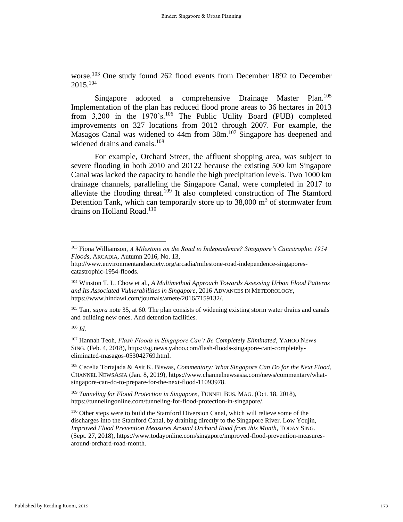worse.<sup>103</sup> One study found 262 flood events from December 1892 to December  $2015^{104}$ 

Singapore adopted a comprehensive Drainage Master Plan.<sup>105</sup> Implementation of the plan has reduced flood prone areas to 36 hectares in 2013 from 3,200 in the 1970's.<sup>106</sup> The Public Utility Board (PUB) completed improvements on 327 locations from 2012 through 2007. For example, the Masagos Canal was widened to 44m from 38m.<sup>107</sup> Singapore has deepened and widened drains and canals.<sup>108</sup>

 For example, Orchard Street, the affluent shopping area, was subject to severe flooding in both 2010 and 20122 because the existing 500 km Singapore Canal was lacked the capacity to handle the high precipitation levels. Two 1000 km drainage channels, paralleling the Singapore Canal, were completed in 2017 to alleviate the flooding threat.<sup>109</sup> It also completed construction of The Stamford Detention Tank, which can temporarily store up to  $38,000 \text{ m}^3$  of stormwater from drains on Holland Road.<sup>110</sup>

<sup>105</sup> Tan, *supra* note 35, at 60. The plan consists of widening existing storm water drains and canals and building new ones. And detention facilities.

<sup>106</sup> *Id.*

<sup>107</sup> Hannah Teoh, *Flash Floods in Singapore Can't Be Completely Eliminated,* YAHOO NEWS SING. (Feb. 4, 2018), https://sg.news.yahoo.com/flash-floods-singapore-cant-completelyeliminated-masagos-053042769.html.

<sup>108</sup> Cecelia Tortajada & Asit K. Biswas, *Commentary: What Singapore Can Do for the Next Flood*, CHANNEL NEWSASIA (Jan. 8, 2019), https://www.channelnewsasia.com/news/commentary/whatsingapore-can-do-to-prepare-for-the-next-flood-11093978.

<sup>109</sup> *Tunneling for Flood Protection in Singapore*, TUNNEL BUS. MAG. (Oct. 18, 2018), https://tunnelingonline.com/tunneling-for-flood-protection-in-singapore/.

<sup>110</sup> Other steps were to build the Stamford Diversion Canal, which will relieve some of the discharges into the Stamford Canal, by draining directly to the Singapore River. Low Youjin, *Improved Flood Prevention Measures Around Orchard Road from this Month,* TODAY SING. (Sept. 27, 2018), https://www.todayonline.com/singapore/improved-flood-prevention-measuresaround-orchard-road-month.

<sup>103</sup> Fiona Williamson, *A Milestone on the Road to Independence? Singapore's Catastrophic 1954 Floods*, ARCADIA, Autumn 2016, No. 13,

http://www.environmentandsociety.org/arcadia/milestone-road-independence-singaporescatastrophic-1954-floods.

<sup>104</sup> Winston T. L. Chow et al., *A Multimethod Approach Towards Assessing Urban Flood Patterns and Its Associated Vulnerabilities in Singapore*, 2016 ADVANCES IN METEOROLOGY, https://www.hindawi.com/journals/amete/2016/7159132/.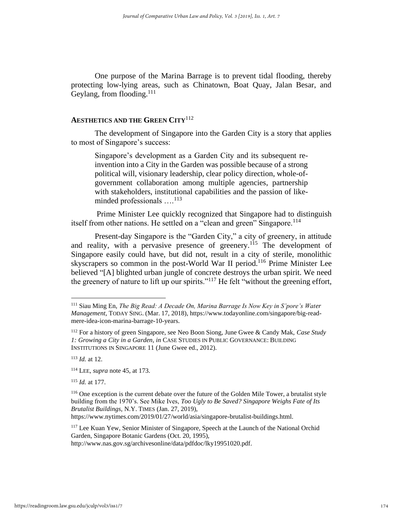One purpose of the Marina Barrage is to prevent tidal flooding, thereby protecting low-lying areas, such as Chinatown, Boat Quay, Jalan Besar, and Geylang, from flooding. $^{111}$ 

### **AESTHETICS AND THE GREEN CITY**<sup>112</sup>

 The development of Singapore into the Garden City is a story that applies to most of Singapore's success:

Singapore's development as a Garden City and its subsequent reinvention into a City in the Garden was possible because of a strong political will, visionary leadership, clear policy direction, whole-ofgovernment collaboration among multiple agencies, partnership with stakeholders, institutional capabilities and the passion of likeminded professionals ....<sup>113</sup>

 Prime Minister Lee quickly recognized that Singapore had to distinguish itself from other nations. He settled on a "clean and green" Singapore.<sup>114</sup>

 Present-day Singapore is the "Garden City," a city of greenery, in attitude and reality, with a pervasive presence of greenery.<sup>115</sup> The development of Singapore easily could have, but did not, result in a city of sterile, monolithic skyscrapers so common in the post-World War II period.<sup>116</sup> Prime Minister Lee believed "[A] blighted urban jungle of concrete destroys the urban spirit. We need the greenery of nature to lift up our spirits."<sup>117</sup> He felt "without the greening effort,

https://www.nytimes.com/2019/01/27/world/asia/singapore-brutalist-buildings.html.

<sup>117</sup> Lee Kuan Yew, Senior Minister of Singapore, Speech at the Launch of the National Orchid Garden, Singapore Botanic Gardens (Oct. 20, 1995),

<sup>111</sup> Siau Ming En, *The Big Read: A Decade On, Marina Barrage Is Now Key in S'pore's Water Management*, TODAY SING. (Mar. 17, 2018), https://www.todayonline.com/singapore/big-readmere-idea-icon-marina-barrage-10-years.

<sup>112</sup> For a history of green Singapore, see Neo Boon Siong, June Gwee & Candy Mak, *Case Study 1: Growing a City in a Garden*, *in* CASE STUDIES IN PUBLIC GOVERNANCE: BUILDING INSTITUTIONS IN SINGAPORE 11 (June Gwee ed., 2012).

<sup>113</sup> *Id.* at 12.

<sup>114</sup> LEE, *supra* note 45, at 173.

<sup>115</sup> *Id.* at 177.

<sup>&</sup>lt;sup>116</sup> One exception is the current debate over the future of the Golden Mile Tower, a brutalist style building from the 1970's. See Mike Ives, *Too Ugly to Be Saved? Singapore Weighs Fate of Its Brutalist Buildings*, N.Y. TIMES (Jan. 27, 2019),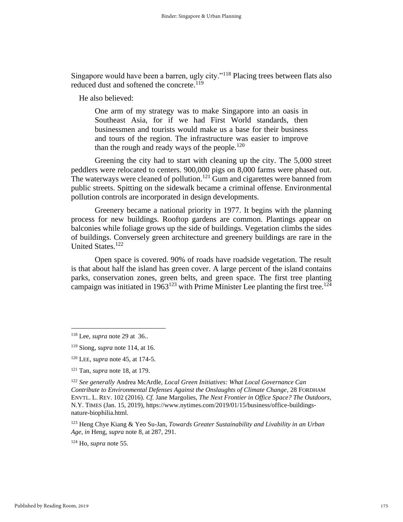Singapore would have been a barren, ugly city."<sup>118</sup> Placing trees between flats also reduced dust and softened the concrete.<sup>119</sup>

He also believed:

One arm of my strategy was to make Singapore into an oasis in Southeast Asia, for if we had First World standards, then businessmen and tourists would make us a base for their business and tours of the region. The infrastructure was easier to improve than the rough and ready ways of the people.<sup>120</sup>

 Greening the city had to start with cleaning up the city. The 5,000 street peddlers were relocated to centers. 900,000 pigs on 8,000 farms were phased out. The waterways were cleaned of pollution.<sup>121</sup> Gum and cigarettes were banned from public streets. Spitting on the sidewalk became a criminal offense. Environmental pollution controls are incorporated in design developments.

 Greenery became a national priority in 1977. It begins with the planning process for new buildings. Rooftop gardens are common. Plantings appear on balconies while foliage grows up the side of buildings. Vegetation climbs the sides of buildings. Conversely green architecture and greenery buildings are rare in the United States.<sup>122</sup>

 Open space is covered. 90% of roads have roadside vegetation. The result is that about half the island has green cover. A large percent of the island contains parks, conservation zones, green belts, and green space. The first tree planting campaign was initiated in 1963<sup>123</sup> with Prime Minister Lee planting the first tree.<sup>124</sup>

<sup>123</sup> Heng Chye Kiang & Yeo Su-Jan, *Towards Greater Sustainability and Livability in an Urban Age*, *in* Heng, *supra* note 8, at 287, 291.

<sup>124</sup> Ho*, supra* note 55.

<sup>118</sup> Lee*, supra* note 29 at 36..

<sup>119</sup> Siong, *supra* note 114, at 16.

<sup>120</sup> LEE, *supra* note 45, at 174-5.

<sup>121</sup> Tan, *supra* note 18, at 179.

<sup>122</sup> *See generally* Andrea McArdle, *Local Green Initiatives: What Local Governance Can Contribute to Environmental Defenses Against the Onslaughts of Climate Change*, 28 FORDHAM ENVTL. L. REV. 102 (2016). *Cf.* Jane Margolies, *The Next Frontier in Office Space? The Outdoors*, N.Y. TIMES (Jan. 15, 2019), https://www.nytimes.com/2019/01/15/business/office-buildingsnature-biophilia.html.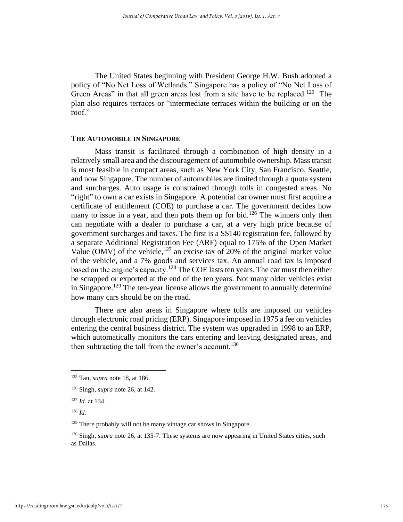The United States beginning with President George H.W. Bush adopted a policy of "No Net Loss of Wetlands." Singapore has a policy of "No Net Loss of Green Areas" in that all green areas lost from a site have to be replaced.<sup>125</sup> The plan also requires terraces or "intermediate terraces within the building or on the roof."

### **THE AUTOMOBILE IN SINGAPORE**

 Mass transit is facilitated through a combination of high density in a relatively small area and the discouragement of automobile ownership. Mass transit is most feasible in compact areas, such as New York City, San Francisco, Seattle, and now Singapore. The number of automobiles are limited through a quota system and surcharges. Auto usage is constrained through tolls in congested areas. No "right" to own a car exists in Singapore. A potential car owner must first acquire a certificate of entitlement (COE) to purchase a car. The government decides how many to issue in a year, and then puts them up for bid.<sup>126</sup> The winners only then can negotiate with a dealer to purchase a car, at a very high price because of government surcharges and taxes. The first is a S\$140 registration fee, followed by a separate Additional Registration Fee (ARF) equal to 175% of the Open Market Value (OMV) of the vehicle,<sup>127</sup> an excise tax of 20% of the original market value of the vehicle, and a 7% goods and services tax. An annual road tax is imposed based on the engine's capacity.<sup>128</sup> The COE lasts ten years. The car must then either be scrapped or exported at the end of the ten years. Not many older vehicles exist in Singapore.<sup>129</sup> The ten-year license allows the government to annually determine how many cars should be on the road.

There are also areas in Singapore where tolls are imposed on vehicles through electronic road pricing (ERP). Singapore imposed in 1975 a fee on vehicles entering the central business district. The system was upgraded in 1998 to an ERP, which automatically monitors the cars entering and leaving designated areas, and then subtracting the toll from the owner's account.<sup>130</sup>

<sup>125</sup> Tan, *supra* note 18, at 186.

<sup>126</sup> Singh, *supra* note 26, at 142.

<sup>127</sup> *Id.* at 134.

<sup>128</sup> *Id.*

<sup>&</sup>lt;sup>129</sup> There probably will not be many vintage car shows in Singapore.

<sup>&</sup>lt;sup>130</sup> Singh, *supra* note 26, at 135-7. These systems are now appearing in United States cities, such as Dallas.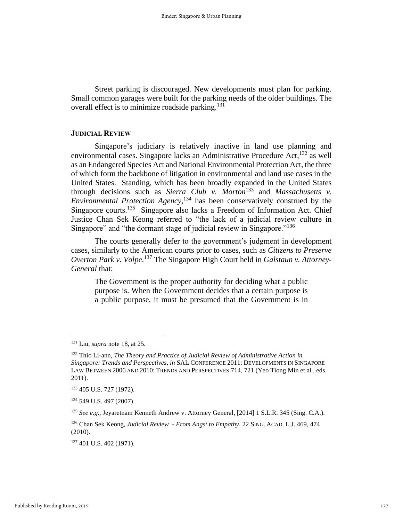Street parking is discouraged. New developments must plan for parking. Small common garages were built for the parking needs of the older buildings. The overall effect is to minimize roadside parking.<sup>131</sup>

#### **JUDICIAL REVIEW**

Singapore's judiciary is relatively inactive in land use planning and environmental cases. Singapore lacks an Administrative Procedure Act,<sup>132</sup> as well as an Endangered Species Act and National Environmental Protection Act, the three of which form the backbone of litigation in environmental and land use cases in the United States. Standing, which has been broadly expanded in the United States through decisions such as *Sierra Club v. Morton*<sup>133</sup> and *Massachusetts v. Environmental Protection Agency*, <sup>134</sup> has been conservatively construed by the Singapore courts.<sup>135</sup> Singapore also lacks a Freedom of Information Act. Chief Justice Chan Sek Keong referred to "the lack of a judicial review culture in Singapore" and "the dormant stage of judicial review in Singapore."<sup>136</sup>

The courts generally defer to the government's judgment in development cases, similarly to the American courts prior to cases, such as *Citizens to Preserve Overton Park v. Volpe*. <sup>137</sup> The Singapore High Court held in *Galstaun v. Attorney-General* that:

The Government is the proper authority for deciding what a public purpose is. When the Government decides that a certain purpose is a public purpose, it must be presumed that the Government is in

<sup>131</sup> Liu, *supra* note 18, at 25.

<sup>132</sup> Thio Li-ann, *The Theory and Practice of Judicial Review of Administrative Action in Singapore: Trends and Perspectives, in* SAL CONFERENCE 2011: DEVELOPMENTS IN SINGAPORE LAW BETWEEN 2006 AND 2010: TRENDS AND PERSPECTIVES 714, 721 (Yeo Tiong Min et al., eds. 2011).

<sup>133</sup> 405 U.S. 727 (1972).

<sup>134</sup> 549 U.S. 497 (2007).

<sup>135</sup> *See e.g.*, Jeyaretnam Kenneth Andrew v. Attorney General*,* [2014] 1 S.L.R. 345 (Sing. C.A.).

<sup>136</sup> Chan Sek Keong, *Judicial Review - From Angst to Empathy,* 22 SING. ACAD. L.J. 469, 474 (2010).

<sup>137</sup> 401 U.S. 402 (1971).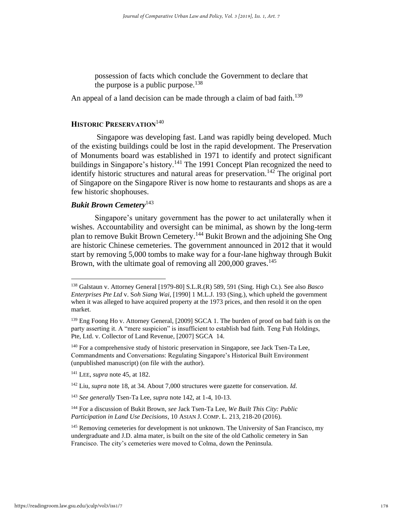possession of facts which conclude the Government to declare that the purpose is a public purpose. $138$ 

An appeal of a land decision can be made through a claim of bad faith.<sup>139</sup>

### **HISTORIC PRESERVATION**<sup>140</sup>

 Singapore was developing fast. Land was rapidly being developed. Much of the existing buildings could be lost in the rapid development. The Preservation of Monuments board was established in 1971 to identify and protect significant buildings in Singapore's history.<sup>141</sup> The 1991 Concept Plan recognized the need to identify historic structures and natural areas for preservation.<sup>142</sup> The original port of Singapore on the Singapore River is now home to restaurants and shops as are a few historic shophouses.

### *Bukit Brown Cemetery*<sup>143</sup>

 Singapore's unitary government has the power to act unilaterally when it wishes. Accountability and oversight can be minimal, as shown by the long-term plan to remove Bukit Brown Cemetery.<sup>144</sup> Bukit Brown and the adjoining She Ong are historic Chinese cemeteries. The government announced in 2012 that it would start by removing 5,000 tombs to make way for a four-lane highway through Bukit Brown, with the ultimate goal of removing all 200,000 graves.<sup>145</sup>

<sup>138</sup> Galstaun v. Attorney General [1979-80] S.L.R.(R) 589, 591 (Sing. High Ct.). See also *Basco Enterprises Pte Ltd* v. S*oh Siang Wai*, [1990] 1 M.L.J. 193 (Sing.), which upheld the government when it was alleged to have acquired property at the 1973 prices, and then resold it on the open market.

<sup>139</sup> Eng Foong Ho v. Attorney General*,* [2009] SGCA 1. The burden of proof on bad faith is on the party asserting it. A "mere suspicion" is insufficient to establish bad faith. Teng Fuh Holdings, Pte, Ltd. v. Collector of Land Revenue, [2007] SGCA 14.

<sup>&</sup>lt;sup>140</sup> For a comprehensive study of historic preservation in Singapore, see Jack Tsen-Ta Lee, Commandments and Conversations: Regulating Singapore's Historical Built Environment (unpublished manuscript) (on file with the author).

<sup>141</sup> LEE, *supra* note 45, at 182.

<sup>142</sup> Liu*, supra* note 18, at 34. About 7,000 structures were gazette for conservation. *Id.*

<sup>143</sup> *See generally* Tsen-Ta Lee*, supra* note 142, at 1-4, 10-13.

<sup>144</sup> For a discussion of Bukit Brown, *see* Jack Tsen-Ta Lee, *We Built This City: Public Participation in Land Use Decisions*, 10 ASIAN J. COMP. L. 213, 218-20 (2016).

<sup>&</sup>lt;sup>145</sup> Removing cemeteries for development is not unknown. The University of San Francisco, my undergraduate and J.D. alma mater, is built on the site of the old Catholic cemetery in San Francisco. The city's cemeteries were moved to Colma, down the Peninsula.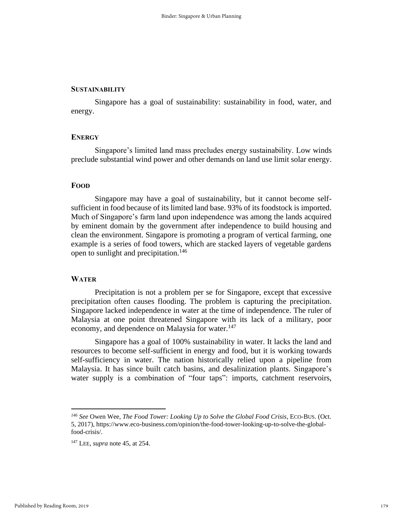#### **SUSTAINABILITY**

 Singapore has a goal of sustainability: sustainability in food, water, and energy.

### **ENERGY**

Singapore's limited land mass precludes energy sustainability. Low winds preclude substantial wind power and other demands on land use limit solar energy.

### **FOOD**

 Singapore may have a goal of sustainability, but it cannot become selfsufficient in food because of its limited land base. 93% of its foodstock is imported. Much of Singapore's farm land upon independence was among the lands acquired by eminent domain by the government after independence to build housing and clean the environment. Singapore is promoting a program of vertical farming, one example is a series of food towers, which are stacked layers of vegetable gardens open to sunlight and precipitation.<sup>146</sup>

### **WATER**

 Precipitation is not a problem per se for Singapore, except that excessive precipitation often causes flooding. The problem is capturing the precipitation. Singapore lacked independence in water at the time of independence. The ruler of Malaysia at one point threatened Singapore with its lack of a military, poor economy, and dependence on Malaysia for water.<sup>147</sup>

Singapore has a goal of 100% sustainability in water. It lacks the land and resources to become self-sufficient in energy and food, but it is working towards self-sufficiency in water. The nation historically relied upon a pipeline from Malaysia. It has since built catch basins, and desalinization plants. Singapore's water supply is a combination of "four taps": imports, catchment reservoirs,

*<sup>146</sup> See* Owen Wee, *The Food Tower: Looking Up to Solve the Global Food Crisis*, ECO-BUS. (Oct. 5, 2017), https://www.eco-business.com/opinion/the-food-tower-looking-up-to-solve-the-globalfood-crisis/.

<sup>147</sup> LEE, *supra* note 45, at 254.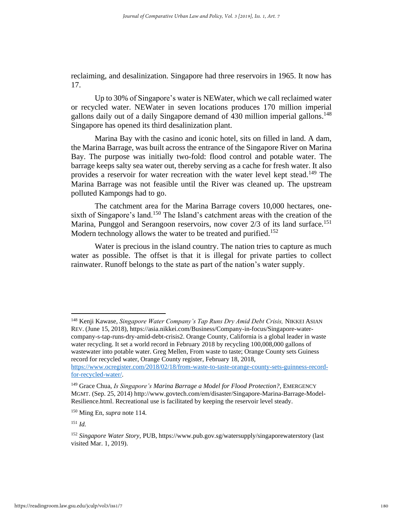reclaiming, and desalinization. Singapore had three reservoirs in 1965. It now has 17.

 Up to 30% of Singapore's water is NEWater, which we call reclaimed water or recycled water. NEWater in seven locations produces 170 million imperial gallons daily out of a daily Singapore demand of 430 million imperial gallons.<sup>148</sup> Singapore has opened its third desalinization plant.

 Marina Bay with the casino and iconic hotel, sits on filled in land. A dam, the Marina Barrage, was built across the entrance of the Singapore River on Marina Bay. The purpose was initially two-fold: flood control and potable water. The barrage keeps salty sea water out, thereby serving as a cache for fresh water. It also provides a reservoir for water recreation with the water level kept stead.<sup>149</sup> The Marina Barrage was not feasible until the River was cleaned up. The upstream polluted Kampongs had to go.

 The catchment area for the Marina Barrage covers 10,000 hectares, onesixth of Singapore's land.<sup>150</sup> The Island's catchment areas with the creation of the Marina, Punggol and Serangoon reservoirs, now cover 2/3 of its land surface.<sup>151</sup> Modern technology allows the water to be treated and purified.<sup>152</sup>

 Water is precious in the island country. The nation tries to capture as much water as possible. The offset is that it is illegal for private parties to collect rainwater. Runoff belongs to the state as part of the nation's water supply.

<sup>150</sup> Ming En, *supra* note 114.

<sup>151</sup> *Id.*

<sup>148</sup> Kenji Kawase, *Singapore Water Company's Tap Runs Dry Amid Debt Crisis,* NIKKEI ASIAN REV. (June 15, 2018), https://asia.nikkei.com/Business/Company-in-focus/Singapore-watercompany-s-tap-runs-dry-amid-debt-crisis2. Orange County, California is a global leader in waste water recycling. It set a world record in February 2018 by recycling 100,008,000 gallons of wastewater into potable water. Greg Mellen, From waste to taste; Orange County sets Guiness record for recycled water, Orange County register, February 18, 2018, [https://www.ocregister.com/2018/02/18/from-waste-to-taste-orange-county-sets-guinness-record-](https://www.ocregister.com/2018/02/18/from-waste-to-taste-orange-county-sets-guinness-record-for-recycled-water/)

[for-recycled-water/.](https://www.ocregister.com/2018/02/18/from-waste-to-taste-orange-county-sets-guinness-record-for-recycled-water/)

<sup>149</sup> Grace Chua, *Is Singapore's Marina Barrage a Model for Flood Protection?*, EMERGENCY MGMT. (Sep. 25, 2014) http://www.govtech.com/em/disaster/Singapore-Marina-Barrage-Model-Resilience.html. Recreational use is facilitated by keeping the reservoir level steady.

<sup>152</sup> *Singapore Water Story*, PUB, https://www.pub.gov.sg/watersupply/singaporewaterstory (last visited Mar. 1, 2019).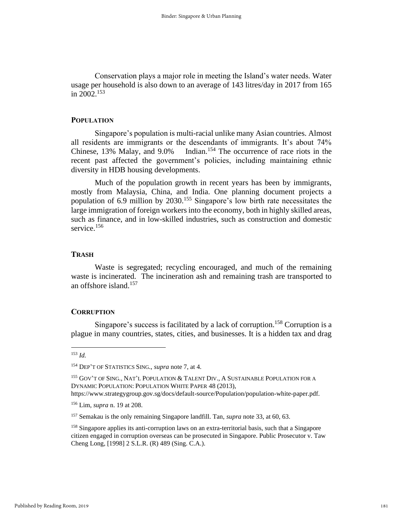Conservation plays a major role in meeting the Island's water needs. Water usage per household is also down to an average of 143 litres/day in 2017 from 165 in 2002.<sup>153</sup>

### **POPULATION**

 Singapore's population is multi-racial unlike many Asian countries. Almost all residents are immigrants or the descendants of immigrants. It's about 74% Chinese, 13% Malay, and 9.0% Indian.<sup>154</sup> The occurrence of race riots in the recent past affected the government's policies, including maintaining ethnic diversity in HDB housing developments.

 Much of the population growth in recent years has been by immigrants, mostly from Malaysia, China, and India. One planning document projects a population of 6.9 million by 2030.<sup>155</sup> Singapore's low birth rate necessitates the large immigration of foreign workers into the economy, both in highly skilled areas, such as finance, and in low-skilled industries, such as construction and domestic service. 156

### **TRASH**

 Waste is segregated; recycling encouraged, and much of the remaining waste is incinerated. The incineration ash and remaining trash are transported to an offshore island.<sup>157</sup>

### **CORRUPTION**

Singapore's success is facilitated by a lack of corruption.<sup>158</sup> Corruption is a plague in many countries, states, cities, and businesses. It is a hidden tax and drag

<sup>153</sup> *Id.*

<sup>154</sup> DEP'T OF STATISTICS SING., *supra* note 7, at 4.

<sup>&</sup>lt;sup>155</sup> GOV'T OF SING., NAT'L POPULATION & TALENT DIV., A SUSTAINABLE POPULATION FOR A DYNAMIC POPULATION: POPULATION WHITE PAPER 48 (2013),

https://www.strategygroup.gov.sg/docs/default-source/Population/population-white-paper.pdf.

<sup>156</sup> Lim, *supra* n. 19 at 208.

<sup>157</sup> Semakau is the only remaining Singapore landfill. Tan, *supra* note 33, at 60, 63.

<sup>&</sup>lt;sup>158</sup> Singapore applies its anti-corruption laws on an extra-territorial basis, such that a Singapore citizen engaged in corruption overseas can be prosecuted in Singapore. Public Prosecutor v. Taw Cheng Long, [1998] 2 S.L.R. (R) 489 (Sing. C.A.).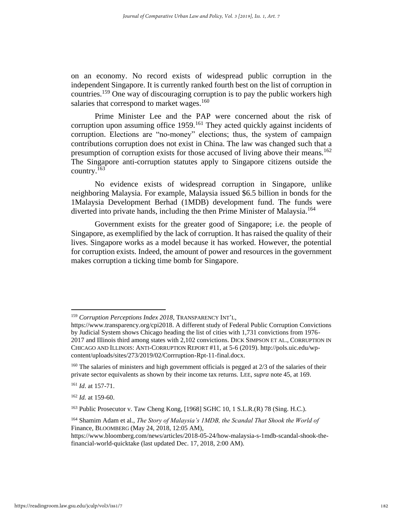on an economy. No record exists of widespread public corruption in the independent Singapore. It is currently ranked fourth best on the list of corruption in countries.<sup>159</sup> One way of discouraging corruption is to pay the public workers high salaries that correspond to market wages. $160$ 

 Prime Minister Lee and the PAP were concerned about the risk of corruption upon assuming office 1959.<sup>161</sup> They acted quickly against incidents of corruption. Elections are "no-money" elections; thus, the system of campaign contributions corruption does not exist in China. The law was changed such that a presumption of corruption exists for those accused of living above their means.<sup>162</sup> The Singapore anti-corruption statutes apply to Singapore citizens outside the country.<sup>163</sup>

No evidence exists of widespread corruption in Singapore, unlike neighboring Malaysia. For example, Malaysia issued \$6.5 billion in bonds for the 1Malaysia Development Berhad (1MDB) development fund. The funds were diverted into private hands, including the then Prime Minister of Malaysia.<sup>164</sup>

Government exists for the greater good of Singapore; i.e. the people of Singapore, as exemplified by the lack of corruption. It has raised the quality of their lives. Singapore works as a model because it has worked. However, the potential for corruption exists. Indeed, the amount of power and resources in the government makes corruption a ticking time bomb for Singapore.

<sup>159</sup> *Corruption Perceptions Index 2018*, TRANSPARENCY INT'L,

https://www.transparency.org/cpi2018. A different study of Federal Public Corruption Convictions by Judicial System shows Chicago heading the list of cities with 1,731 convictions from 1976- 2017 and Illinois third among states with 2,102 convictions. DICK SIMPSON ET AL., CORRUPTION IN CHICAGO AND ILLINOIS: ANTI-CORRUPTION REPORT #11, at 5-6 (2019). http://pols.uic.edu/wpcontent/uploads/sites/273/2019/02/Corrruption-Rpt-11-final.docx.

<sup>&</sup>lt;sup>160</sup> The salaries of ministers and high government officials is pegged at 2/3 of the salaries of their private sector equivalents as shown by their income tax returns. LEE, *supra* note 45, at 169.

<sup>161</sup> *Id*. at 157-71.

<sup>162</sup> *Id.* at 159-60.

<sup>163</sup> Public Prosecutor v. Taw Cheng Kong*,* [1968] SGHC 10, 1 S.L.R.(R) 78 (Sing. H.C.).

<sup>164</sup> Shamim Adam et al., *The Story of Malaysia's 1MDB, the Scandal That Shook the World of*  Finance, BLOOMBERG (May 24, 2018, 12:05 AM),

https://www.bloomberg.com/news/articles/2018-05-24/how-malaysia-s-1mdb-scandal-shook-thefinancial-world-quicktake (last updated Dec. 17, 2018, 2:00 AM).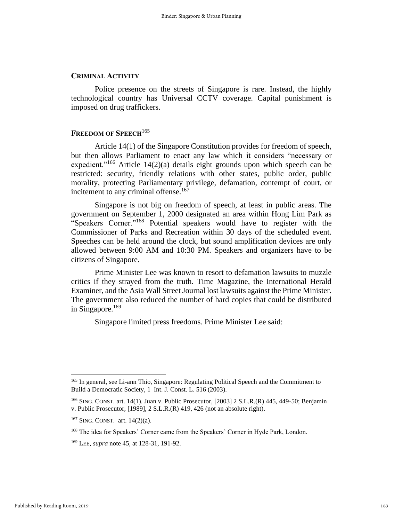### **CRIMINAL ACTIVITY**

Police presence on the streets of Singapore is rare. Instead, the highly technological country has Universal CCTV coverage. Capital punishment is imposed on drug traffickers.

### **FREEDOM OF SPEECH**<sup>165</sup>

 Article 14(1) of the Singapore Constitution provides for freedom of speech, but then allows Parliament to enact any law which it considers "necessary or expedient."<sup>166</sup> Article 14(2)(a) details eight grounds upon which speech can be restricted: security, friendly relations with other states, public order, public morality, protecting Parliamentary privilege, defamation, contempt of court, or incitement to any criminal offense.<sup>167</sup>

Singapore is not big on freedom of speech, at least in public areas. The government on September 1, 2000 designated an area within Hong Lim Park as "Speakers Corner."<sup>168</sup> Potential speakers would have to register with the Commissioner of Parks and Recreation within 30 days of the scheduled event. Speeches can be held around the clock, but sound amplification devices are only allowed between 9:00 AM and 10:30 PM. Speakers and organizers have to be citizens of Singapore.

 Prime Minister Lee was known to resort to defamation lawsuits to muzzle critics if they strayed from the truth. Time Magazine, the International Herald Examiner, and the Asia Wall Street Journal lost lawsuits against the Prime Minister. The government also reduced the number of hard copies that could be distributed in Singapore. $169$ 

Singapore limited press freedoms. Prime Minister Lee said:

<sup>&</sup>lt;sup>165</sup> In general, see Li-ann Thio, Singapore: Regulating Political Speech and the Commitment to Build a Democratic Society, 1 Int. J. Const. L. 516 (2003).

<sup>166</sup> SING. CONST. art. 14(1). Juan v. Public Prosecutor, [2003] 2 S.L.R.(R) 445, 449-50; Benjamin v. Public Prosecutor, [1989], 2 S.L.R.(R) 419, 426 (not an absolute right).

<sup>167</sup> SING. CONST. art. 14(2)(a).

<sup>&</sup>lt;sup>168</sup> The idea for Speakers' Corner came from the Speakers' Corner in Hyde Park, London.

<sup>169</sup> LEE, *supra* note 45, at 128-31, 191-92.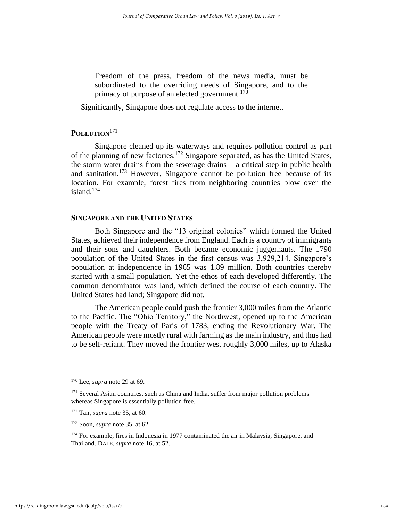Freedom of the press, freedom of the news media, must be subordinated to the overriding needs of Singapore, and to the primacy of purpose of an elected government.<sup>170</sup>

Significantly, Singapore does not regulate access to the internet.

### **POLLUTION**<sup>171</sup>

 Singapore cleaned up its waterways and requires pollution control as part of the planning of new factories.<sup>172</sup> Singapore separated, as has the United States, the storm water drains from the sewerage drains – a critical step in public health and sanitation.<sup>173</sup> However, Singapore cannot be pollution free because of its location. For example, forest fires from neighboring countries blow over the island.<sup>174</sup>

### **SINGAPORE AND THE UNITED STATES**

Both Singapore and the "13 original colonies" which formed the United States, achieved their independence from England. Each is a country of immigrants and their sons and daughters. Both became economic juggernauts. The 1790 population of the United States in the first census was 3,929,214. Singapore's population at independence in 1965 was 1.89 million. Both countries thereby started with a small population. Yet the ethos of each developed differently. The common denominator was land, which defined the course of each country. The United States had land; Singapore did not.

The American people could push the frontier 3,000 miles from the Atlantic to the Pacific. The "Ohio Territory," the Northwest, opened up to the American people with the Treaty of Paris of 1783, ending the Revolutionary War. The American people were mostly rural with farming as the main industry, and thus had to be self-reliant. They moved the frontier west roughly 3,000 miles, up to Alaska

<sup>170</sup> Lee, *supra* note 29 at 69.

<sup>&</sup>lt;sup>171</sup> Several Asian countries, such as China and India, suffer from major pollution problems whereas Singapore is essentially pollution free.

<sup>172</sup> Tan, *supra* note 35, at 60.

<sup>173</sup> Soon, *supra* note 35 at 62.

<sup>&</sup>lt;sup>174</sup> For example, fires in Indonesia in 1977 contaminated the air in Malaysia, Singapore, and Thailand. DALE*, supra* note 16, at 52.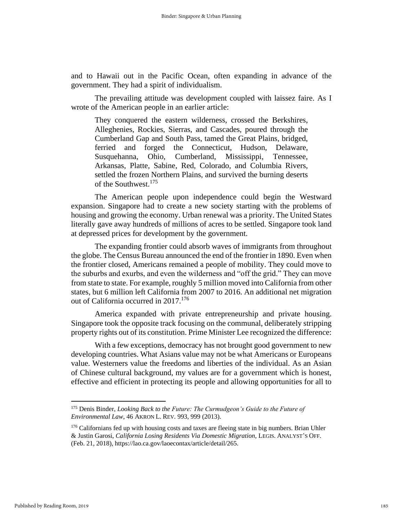and to Hawaii out in the Pacific Ocean, often expanding in advance of the government. They had a spirit of individualism.

The prevailing attitude was development coupled with laissez faire. As I wrote of the American people in an earlier article:

They conquered the eastern wilderness, crossed the Berkshires, Alleghenies, Rockies, Sierras, and Cascades, poured through the Cumberland Gap and South Pass, tamed the Great Plains, bridged, ferried and forged the Connecticut, Hudson, Delaware, Susquehanna, Ohio, Cumberland, Mississippi, Tennessee, Arkansas, Platte, Sabine, Red, Colorado, and Columbia Rivers, settled the frozen Northern Plains, and survived the burning deserts of the Southwest.<sup>175</sup>

The American people upon independence could begin the Westward expansion. Singapore had to create a new society starting with the problems of housing and growing the economy. Urban renewal was a priority. The United States literally gave away hundreds of millions of acres to be settled. Singapore took land at depressed prices for development by the government.

 The expanding frontier could absorb waves of immigrants from throughout the globe. The Census Bureau announced the end of the frontier in 1890. Even when the frontier closed, Americans remained a people of mobility. They could move to the suburbs and exurbs, and even the wilderness and "off the grid." They can move from state to state. For example, roughly 5 million moved into California from other states, but 6 million left California from 2007 to 2016. An additional net migration out of California occurred in 2017.<sup>176</sup>

 America expanded with private entrepreneurship and private housing. Singapore took the opposite track focusing on the communal, deliberately stripping property rights out of its constitution. Prime Minister Lee recognized the difference:

 With a few exceptions, democracy has not brought good government to new developing countries. What Asians value may not be what Americans or Europeans value. Westerners value the freedoms and liberties of the individual. As an Asian of Chinese cultural background, my values are for a government which is honest, effective and efficient in protecting its people and allowing opportunities for all to

<sup>175</sup> Denis Binder, *Looking Back to the Future: The Curmudgeon's Guide to the Future of Environmental Law*, 46 AKRON L. REV. 993, 999 (2013).

<sup>&</sup>lt;sup>176</sup> Californians fed up with housing costs and taxes are fleeing state in big numbers. Brian Uhler & Justin Garosi, *California Losing Residents Via Domestic Migration*, LEGIS. ANALYST'S OFF. (Feb. 21, 2018), https://lao.ca.gov/laoecontax/article/detail/265.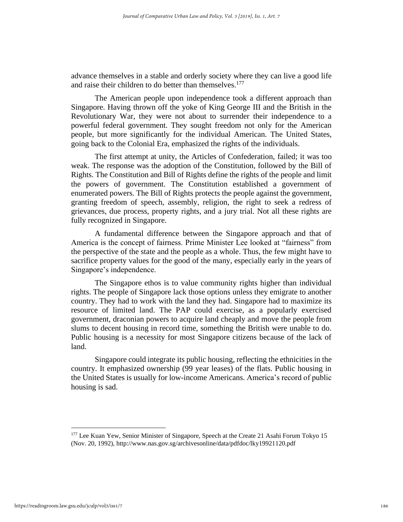advance themselves in a stable and orderly society where they can live a good life and raise their children to do better than themselves.<sup>177</sup>

 The American people upon independence took a different approach than Singapore. Having thrown off the yoke of King George III and the British in the Revolutionary War, they were not about to surrender their independence to a powerful federal government. They sought freedom not only for the American people, but more significantly for the individual American. The United States, going back to the Colonial Era, emphasized the rights of the individuals.

 The first attempt at unity, the Articles of Confederation, failed; it was too weak. The response was the adoption of the Constitution, followed by the Bill of Rights. The Constitution and Bill of Rights define the rights of the people and limit the powers of government. The Constitution established a government of enumerated powers. The Bill of Rights protects the people against the government, granting freedom of speech, assembly, religion, the right to seek a redress of grievances, due process, property rights, and a jury trial. Not all these rights are fully recognized in Singapore.

 A fundamental difference between the Singapore approach and that of America is the concept of fairness. Prime Minister Lee looked at "fairness" from the perspective of the state and the people as a whole. Thus, the few might have to sacrifice property values for the good of the many, especially early in the years of Singapore's independence.

 The Singapore ethos is to value community rights higher than individual rights. The people of Singapore lack those options unless they emigrate to another country. They had to work with the land they had. Singapore had to maximize its resource of limited land. The PAP could exercise, as a popularly exercised government, draconian powers to acquire land cheaply and move the people from slums to decent housing in record time, something the British were unable to do. Public housing is a necessity for most Singapore citizens because of the lack of land.

 Singapore could integrate its public housing, reflecting the ethnicities in the country. It emphasized ownership (99 year leases) of the flats. Public housing in the United States is usually for low-income Americans. America's record of public housing is sad.

<sup>&</sup>lt;sup>177</sup> Lee Kuan Yew, Senior Minister of Singapore, Speech at the Create 21 Asahi Forum Tokyo 15 (Nov. 20, 1992), http://www.nas.gov.sg/archivesonline/data/pdfdoc/lky19921120.pdf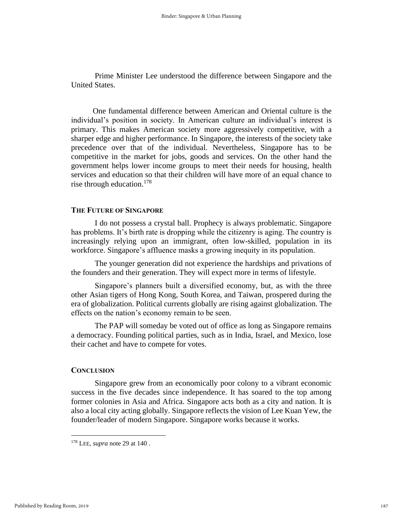Prime Minister Lee understood the difference between Singapore and the United States.

 One fundamental difference between American and Oriental culture is the individual's position in society. In American culture an individual's interest is primary. This makes American society more aggressively competitive, with a sharper edge and higher performance. In Singapore, the interests of the society take precedence over that of the individual. Nevertheless, Singapore has to be competitive in the market for jobs, goods and services. On the other hand the government helps lower income groups to meet their needs for housing, health services and education so that their children will have more of an equal chance to rise through education.<sup>178</sup>

### **THE FUTURE OF SINGAPORE**

 I do not possess a crystal ball. Prophecy is always problematic. Singapore has problems. It's birth rate is dropping while the citizenry is aging. The country is increasingly relying upon an immigrant, often low-skilled, population in its workforce. Singapore's affluence masks a growing inequity in its population.

The younger generation did not experience the hardships and privations of the founders and their generation. They will expect more in terms of lifestyle.

 Singapore's planners built a diversified economy, but, as with the three other Asian tigers of Hong Kong, South Korea, and Taiwan, prospered during the era of globalization. Political currents globally are rising against globalization. The effects on the nation's economy remain to be seen.

 The PAP will someday be voted out of office as long as Singapore remains a democracy. Founding political parties, such as in India, Israel, and Mexico, lose their cachet and have to compete for votes.

### **CONCLUSION**

 Singapore grew from an economically poor colony to a vibrant economic success in the five decades since independence. It has soared to the top among former colonies in Asia and Africa. Singapore acts both as a city and nation. It is also a local city acting globally. Singapore reflects the vision of Lee Kuan Yew, the founder/leader of modern Singapore. Singapore works because it works.

<sup>178</sup> LEE, *supra* note 29 at 140 .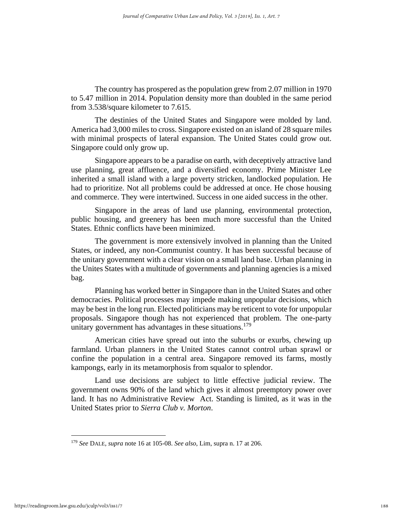The country has prospered as the population grew from 2.07 million in 1970 to 5.47 million in 2014. Population density more than doubled in the same period from 3.538/square kilometer to 7.615.

 The destinies of the United States and Singapore were molded by land. America had 3,000 miles to cross. Singapore existed on an island of 28 square miles with minimal prospects of lateral expansion. The United States could grow out. Singapore could only grow up.

 Singapore appears to be a paradise on earth, with deceptively attractive land use planning, great affluence, and a diversified economy. Prime Minister Lee inherited a small island with a large poverty stricken, landlocked population. He had to prioritize. Not all problems could be addressed at once. He chose housing and commerce. They were intertwined. Success in one aided success in the other.

 Singapore in the areas of land use planning, environmental protection, public housing, and greenery has been much more successful than the United States. Ethnic conflicts have been minimized.

 The government is more extensively involved in planning than the United States, or indeed, any non-Communist country. It has been successful because of the unitary government with a clear vision on a small land base. Urban planning in the Unites States with a multitude of governments and planning agencies is a mixed bag.

 Planning has worked better in Singapore than in the United States and other democracies. Political processes may impede making unpopular decisions, which may be best in the long run. Elected politicians may be reticent to vote for unpopular proposals. Singapore though has not experienced that problem. The one-party unitary government has advantages in these situations.<sup>179</sup>

 American cities have spread out into the suburbs or exurbs, chewing up farmland. Urban planners in the United States cannot control urban sprawl or confine the population in a central area. Singapore removed its farms, mostly kampongs, early in its metamorphosis from squalor to splendor.

 Land use decisions are subject to little effective judicial review. The government owns 90% of the land which gives it almost preemptory power over land. It has no Administrative Review Act. Standing is limited, as it was in the United States prior to *Sierra Club v. Morton*.

<sup>179</sup> *See* DALE*, supra* note 16 at 105-08. *See also*, Lim, supra n. 17 at 206.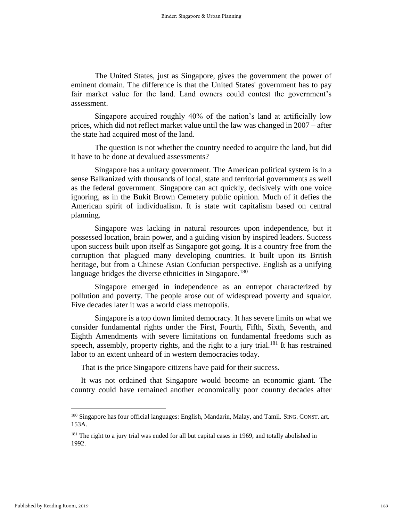The United States, just as Singapore, gives the government the power of eminent domain. The difference is that the United States' government has to pay fair market value for the land. Land owners could contest the government's assessment.

 Singapore acquired roughly 40% of the nation's land at artificially low prices, which did not reflect market value until the law was changed in 2007 – after the state had acquired most of the land.

 The question is not whether the country needed to acquire the land, but did it have to be done at devalued assessments?

 Singapore has a unitary government. The American political system is in a sense Balkanized with thousands of local, state and territorial governments as well as the federal government. Singapore can act quickly, decisively with one voice ignoring, as in the Bukit Brown Cemetery public opinion. Much of it defies the American spirit of individualism. It is state writ capitalism based on central planning.

 Singapore was lacking in natural resources upon independence, but it possessed location, brain power, and a guiding vision by inspired leaders. Success upon success built upon itself as Singapore got going. It is a country free from the corruption that plagued many developing countries. It built upon its British heritage, but from a Chinese Asian Confucian perspective. English as a unifying language bridges the diverse ethnicities in Singapore.<sup>180</sup>

 Singapore emerged in independence as an entrepot characterized by pollution and poverty. The people arose out of widespread poverty and squalor. Five decades later it was a world class metropolis.

 Singapore is a top down limited democracy. It has severe limits on what we consider fundamental rights under the First, Fourth, Fifth, Sixth, Seventh, and Eighth Amendments with severe limitations on fundamental freedoms such as speech, assembly, property rights, and the right to a jury trial.<sup>181</sup> It has restrained labor to an extent unheard of in western democracies today.

That is the price Singapore citizens have paid for their success.

 It was not ordained that Singapore would become an economic giant. The country could have remained another economically poor country decades after

<sup>&</sup>lt;sup>180</sup> Singapore has four official languages: English, Mandarin, Malay, and Tamil. SING. CONST. art. 153A.

<sup>&</sup>lt;sup>181</sup> The right to a jury trial was ended for all but capital cases in 1969, and totally abolished in 1992.